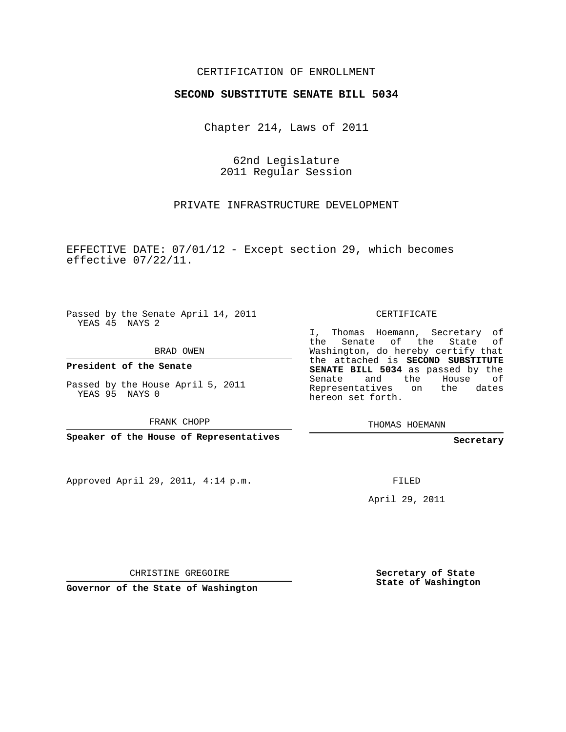## CERTIFICATION OF ENROLLMENT

## **SECOND SUBSTITUTE SENATE BILL 5034**

Chapter 214, Laws of 2011

62nd Legislature 2011 Regular Session

PRIVATE INFRASTRUCTURE DEVELOPMENT

EFFECTIVE DATE: 07/01/12 - Except section 29, which becomes effective 07/22/11.

Passed by the Senate April 14, 2011 YEAS 45 NAYS 2

BRAD OWEN

**President of the Senate**

Passed by the House April 5, 2011 YEAS 95 NAYS 0

FRANK CHOPP

**Speaker of the House of Representatives**

Approved April 29, 2011, 4:14 p.m.

CERTIFICATE

I, Thomas Hoemann, Secretary of the Senate of the State of Washington, do hereby certify that the attached is **SECOND SUBSTITUTE SENATE BILL 5034** as passed by the Senate and the House of Representatives on the dates hereon set forth.

THOMAS HOEMANN

**Secretary**

FILED

April 29, 2011

CHRISTINE GREGOIRE

**Governor of the State of Washington**

**Secretary of State State of Washington**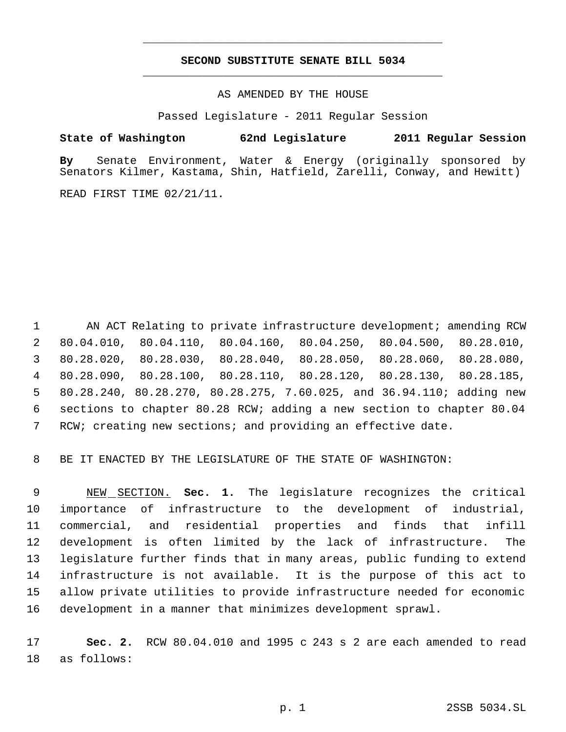## **SECOND SUBSTITUTE SENATE BILL 5034** \_\_\_\_\_\_\_\_\_\_\_\_\_\_\_\_\_\_\_\_\_\_\_\_\_\_\_\_\_\_\_\_\_\_\_\_\_\_\_\_\_\_\_\_\_

\_\_\_\_\_\_\_\_\_\_\_\_\_\_\_\_\_\_\_\_\_\_\_\_\_\_\_\_\_\_\_\_\_\_\_\_\_\_\_\_\_\_\_\_\_

AS AMENDED BY THE HOUSE

Passed Legislature - 2011 Regular Session

**State of Washington 62nd Legislature 2011 Regular Session**

**By** Senate Environment, Water & Energy (originally sponsored by Senators Kilmer, Kastama, Shin, Hatfield, Zarelli, Conway, and Hewitt)

READ FIRST TIME 02/21/11.

1 AN ACT Relating to private infrastructure development; amending RCW 80.04.010, 80.04.110, 80.04.160, 80.04.250, 80.04.500, 80.28.010, 80.28.020, 80.28.030, 80.28.040, 80.28.050, 80.28.060, 80.28.080, 80.28.090, 80.28.100, 80.28.110, 80.28.120, 80.28.130, 80.28.185, 80.28.240, 80.28.270, 80.28.275, 7.60.025, and 36.94.110; adding new sections to chapter 80.28 RCW; adding a new section to chapter 80.04 RCW; creating new sections; and providing an effective date.

BE IT ENACTED BY THE LEGISLATURE OF THE STATE OF WASHINGTON:

 NEW SECTION. **Sec. 1.** The legislature recognizes the critical importance of infrastructure to the development of industrial, commercial, and residential properties and finds that infill development is often limited by the lack of infrastructure. The legislature further finds that in many areas, public funding to extend infrastructure is not available. It is the purpose of this act to allow private utilities to provide infrastructure needed for economic development in a manner that minimizes development sprawl.

 **Sec. 2.** RCW 80.04.010 and 1995 c 243 s 2 are each amended to read as follows: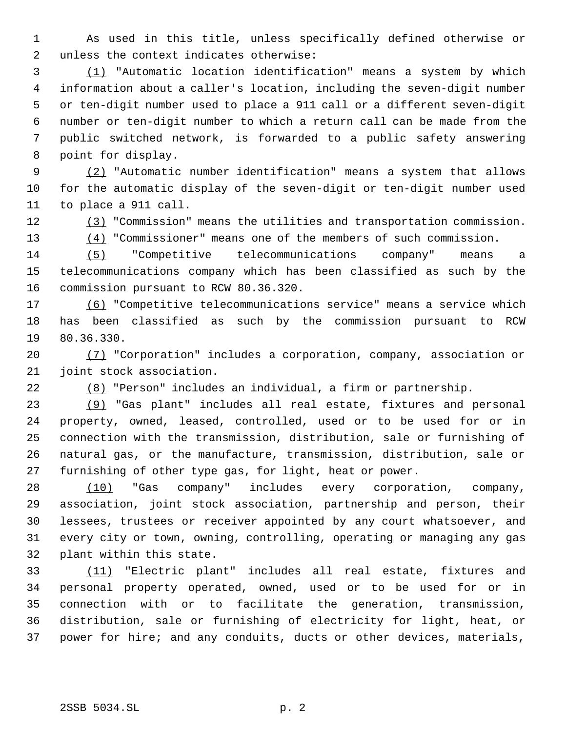As used in this title, unless specifically defined otherwise or unless the context indicates otherwise:

 (1) "Automatic location identification" means a system by which information about a caller's location, including the seven-digit number or ten-digit number used to place a 911 call or a different seven-digit number or ten-digit number to which a return call can be made from the public switched network, is forwarded to a public safety answering point for display.

 (2) "Automatic number identification" means a system that allows for the automatic display of the seven-digit or ten-digit number used to place a 911 call.

(3) "Commission" means the utilities and transportation commission.

13 (4) "Commissioner" means one of the members of such commission.

 (5) "Competitive telecommunications company" means a telecommunications company which has been classified as such by the commission pursuant to RCW 80.36.320.

 (6) "Competitive telecommunications service" means a service which has been classified as such by the commission pursuant to RCW 80.36.330.

 (7) "Corporation" includes a corporation, company, association or joint stock association.

(8) "Person" includes an individual, a firm or partnership.

 (9) "Gas plant" includes all real estate, fixtures and personal property, owned, leased, controlled, used or to be used for or in connection with the transmission, distribution, sale or furnishing of natural gas, or the manufacture, transmission, distribution, sale or furnishing of other type gas, for light, heat or power.

 (10) "Gas company" includes every corporation, company, association, joint stock association, partnership and person, their lessees, trustees or receiver appointed by any court whatsoever, and every city or town, owning, controlling, operating or managing any gas plant within this state.

 (11) "Electric plant" includes all real estate, fixtures and personal property operated, owned, used or to be used for or in connection with or to facilitate the generation, transmission, distribution, sale or furnishing of electricity for light, heat, or power for hire; and any conduits, ducts or other devices, materials,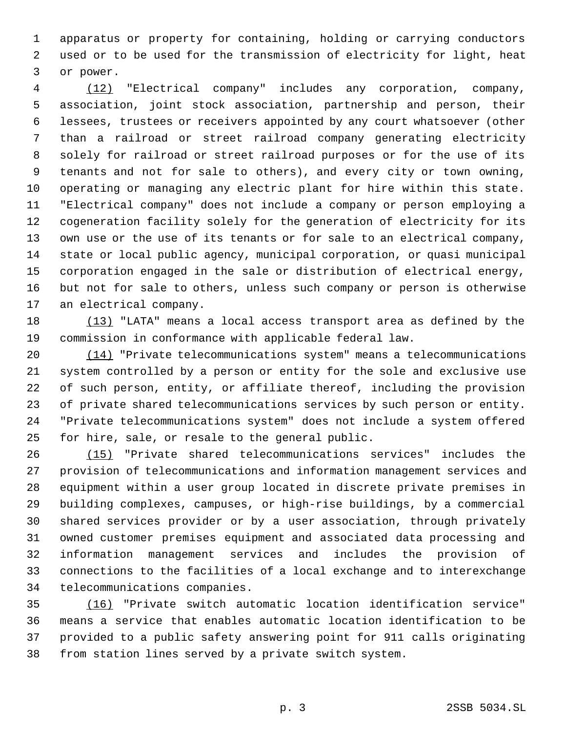apparatus or property for containing, holding or carrying conductors used or to be used for the transmission of electricity for light, heat or power.

 (12) "Electrical company" includes any corporation, company, association, joint stock association, partnership and person, their lessees, trustees or receivers appointed by any court whatsoever (other than a railroad or street railroad company generating electricity solely for railroad or street railroad purposes or for the use of its tenants and not for sale to others), and every city or town owning, operating or managing any electric plant for hire within this state. "Electrical company" does not include a company or person employing a cogeneration facility solely for the generation of electricity for its own use or the use of its tenants or for sale to an electrical company, state or local public agency, municipal corporation, or quasi municipal corporation engaged in the sale or distribution of electrical energy, but not for sale to others, unless such company or person is otherwise an electrical company.

 (13) "LATA" means a local access transport area as defined by the commission in conformance with applicable federal law.

 (14) "Private telecommunications system" means a telecommunications system controlled by a person or entity for the sole and exclusive use of such person, entity, or affiliate thereof, including the provision of private shared telecommunications services by such person or entity. "Private telecommunications system" does not include a system offered for hire, sale, or resale to the general public.

 (15) "Private shared telecommunications services" includes the provision of telecommunications and information management services and equipment within a user group located in discrete private premises in building complexes, campuses, or high-rise buildings, by a commercial shared services provider or by a user association, through privately owned customer premises equipment and associated data processing and information management services and includes the provision of connections to the facilities of a local exchange and to interexchange telecommunications companies.

 (16) "Private switch automatic location identification service" means a service that enables automatic location identification to be provided to a public safety answering point for 911 calls originating from station lines served by a private switch system.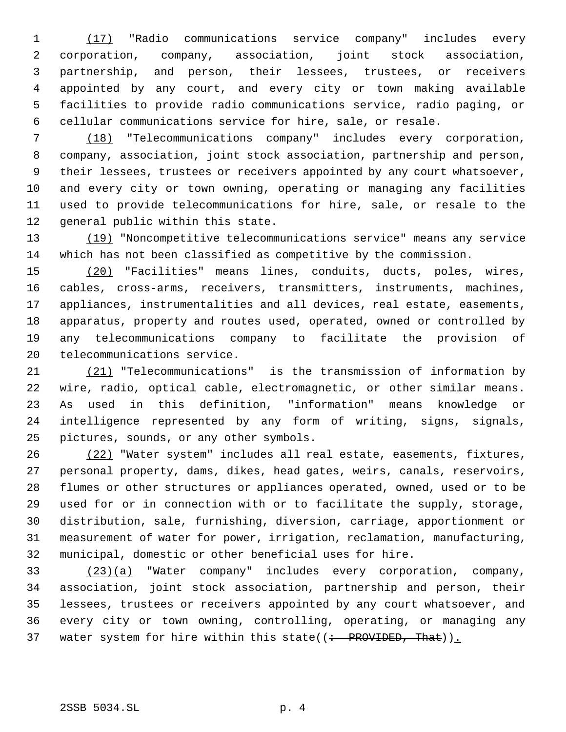(17) "Radio communications service company" includes every corporation, company, association, joint stock association, partnership, and person, their lessees, trustees, or receivers appointed by any court, and every city or town making available facilities to provide radio communications service, radio paging, or cellular communications service for hire, sale, or resale.

 (18) "Telecommunications company" includes every corporation, company, association, joint stock association, partnership and person, their lessees, trustees or receivers appointed by any court whatsoever, and every city or town owning, operating or managing any facilities used to provide telecommunications for hire, sale, or resale to the general public within this state.

 (19) "Noncompetitive telecommunications service" means any service which has not been classified as competitive by the commission.

 (20) "Facilities" means lines, conduits, ducts, poles, wires, cables, cross-arms, receivers, transmitters, instruments, machines, appliances, instrumentalities and all devices, real estate, easements, apparatus, property and routes used, operated, owned or controlled by any telecommunications company to facilitate the provision of telecommunications service.

 (21) "Telecommunications" is the transmission of information by wire, radio, optical cable, electromagnetic, or other similar means. As used in this definition, "information" means knowledge or intelligence represented by any form of writing, signs, signals, pictures, sounds, or any other symbols.

 (22) "Water system" includes all real estate, easements, fixtures, personal property, dams, dikes, head gates, weirs, canals, reservoirs, flumes or other structures or appliances operated, owned, used or to be used for or in connection with or to facilitate the supply, storage, distribution, sale, furnishing, diversion, carriage, apportionment or measurement of water for power, irrigation, reclamation, manufacturing, municipal, domestic or other beneficial uses for hire.

 (23)(a) "Water company" includes every corporation, company, association, joint stock association, partnership and person, their lessees, trustees or receivers appointed by any court whatsoever, and every city or town owning, controlling, operating, or managing any 37 water system for hire within this state( $($  + PROVIDED, That)).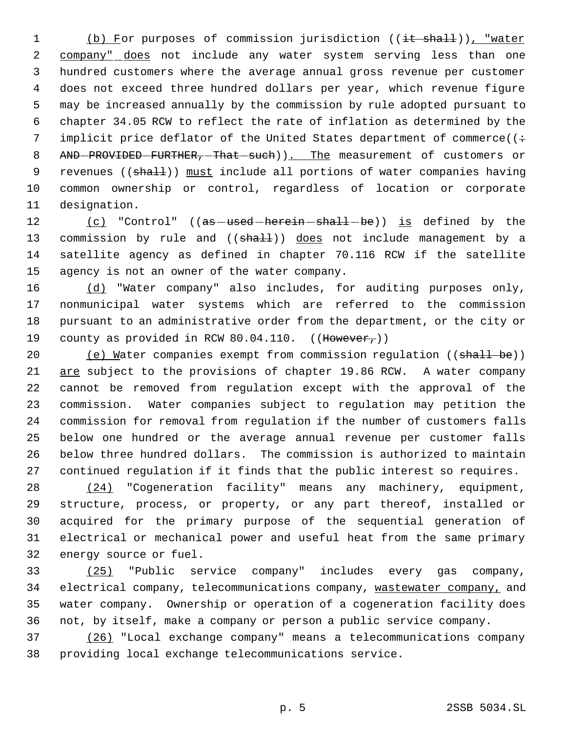1 (b) For purposes of commission jurisdiction ((it shall)), "water 2 company" does not include any water system serving less than one hundred customers where the average annual gross revenue per customer does not exceed three hundred dollars per year, which revenue figure may be increased annually by the commission by rule adopted pursuant to chapter 34.05 RCW to reflect the rate of inflation as determined by the 7 implicit price deflator of the United States department of commerce( $($ : 8 AND-PROVIDED-FURTHER, That such)). The measurement of customers or 9 revenues ((shall)) must include all portions of water companies having common ownership or control, regardless of location or corporate designation.

12 (c) "Control" ((as -used -herein - shall -be)) is defined by the 13 commission by rule and ((shall)) does not include management by a satellite agency as defined in chapter 70.116 RCW if the satellite agency is not an owner of the water company.

 (d) "Water company" also includes, for auditing purposes only, nonmunicipal water systems which are referred to the commission pursuant to an administrative order from the department, or the city or 19 county as provided in RCW 80.04.110.  $((\text{However},))$ 

20 (e) Water companies exempt from commission regulation ((shall be)) are subject to the provisions of chapter 19.86 RCW. A water company cannot be removed from regulation except with the approval of the commission. Water companies subject to regulation may petition the commission for removal from regulation if the number of customers falls below one hundred or the average annual revenue per customer falls below three hundred dollars. The commission is authorized to maintain continued regulation if it finds that the public interest so requires.

 (24) "Cogeneration facility" means any machinery, equipment, structure, process, or property, or any part thereof, installed or acquired for the primary purpose of the sequential generation of electrical or mechanical power and useful heat from the same primary energy source or fuel.

 (25) "Public service company" includes every gas company, 34 electrical company, telecommunications company, wastewater company, and water company. Ownership or operation of a cogeneration facility does not, by itself, make a company or person a public service company.

 (26) "Local exchange company" means a telecommunications company providing local exchange telecommunications service.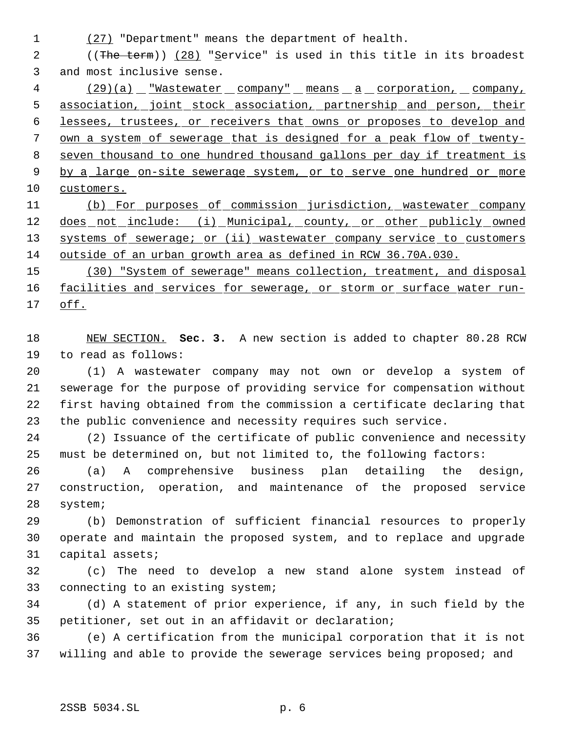(27) "Department" means the department of health.

2 ((The term)) (28) "Service" is used in this title in its broadest and most inclusive sense.

4 (29)(a) "Wastewater company" means a corporation, company, association, joint stock association, partnership and person, their lessees, trustees, or receivers that owns or proposes to develop and own a system of sewerage that is designed for a peak flow of twenty- seven thousand to one hundred thousand gallons per day if treatment is 9 by a large on-site sewerage system, or to serve one hundred or more 10 customers. (b) For purposes of commission jurisdiction, wastewater company

12 does not include: (i) Municipal, county, or other publicly owned 13 systems of sewerage; or (ii) wastewater company service to customers outside of an urban growth area as defined in RCW 36.70A.030.

 (30) "System of sewerage" means collection, treatment, and disposal 16 facilities and services for sewerage, or storm or surface water run-off.

 NEW SECTION. **Sec. 3.** A new section is added to chapter 80.28 RCW to read as follows:

 (1) A wastewater company may not own or develop a system of sewerage for the purpose of providing service for compensation without first having obtained from the commission a certificate declaring that the public convenience and necessity requires such service.

 (2) Issuance of the certificate of public convenience and necessity must be determined on, but not limited to, the following factors:

 (a) A comprehensive business plan detailing the design, construction, operation, and maintenance of the proposed service system;

 (b) Demonstration of sufficient financial resources to properly operate and maintain the proposed system, and to replace and upgrade capital assets;

 (c) The need to develop a new stand alone system instead of connecting to an existing system;

 (d) A statement of prior experience, if any, in such field by the petitioner, set out in an affidavit or declaration;

 (e) A certification from the municipal corporation that it is not willing and able to provide the sewerage services being proposed; and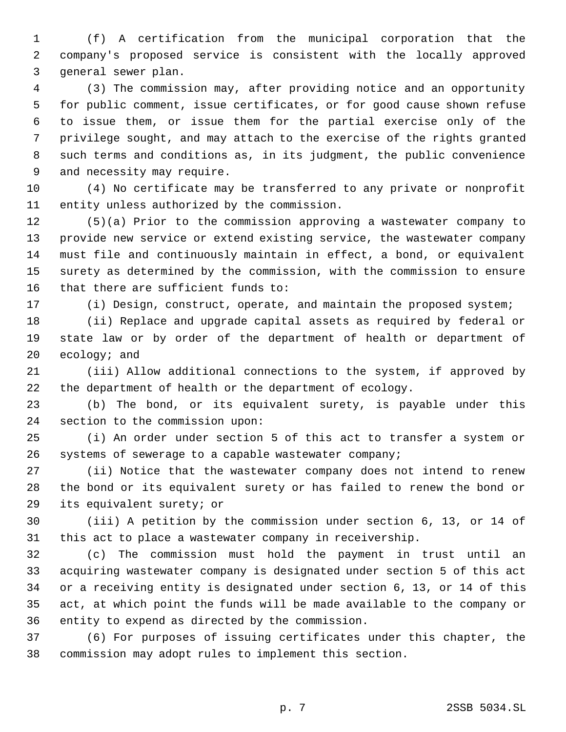(f) A certification from the municipal corporation that the company's proposed service is consistent with the locally approved general sewer plan.

 (3) The commission may, after providing notice and an opportunity for public comment, issue certificates, or for good cause shown refuse to issue them, or issue them for the partial exercise only of the privilege sought, and may attach to the exercise of the rights granted such terms and conditions as, in its judgment, the public convenience and necessity may require.

 (4) No certificate may be transferred to any private or nonprofit entity unless authorized by the commission.

 (5)(a) Prior to the commission approving a wastewater company to provide new service or extend existing service, the wastewater company must file and continuously maintain in effect, a bond, or equivalent surety as determined by the commission, with the commission to ensure that there are sufficient funds to:

(i) Design, construct, operate, and maintain the proposed system;

 (ii) Replace and upgrade capital assets as required by federal or state law or by order of the department of health or department of ecology; and

 (iii) Allow additional connections to the system, if approved by the department of health or the department of ecology.

 (b) The bond, or its equivalent surety, is payable under this section to the commission upon:

 (i) An order under section 5 of this act to transfer a system or systems of sewerage to a capable wastewater company;

 (ii) Notice that the wastewater company does not intend to renew the bond or its equivalent surety or has failed to renew the bond or its equivalent surety; or

 (iii) A petition by the commission under section 6, 13, or 14 of this act to place a wastewater company in receivership.

 (c) The commission must hold the payment in trust until an acquiring wastewater company is designated under section 5 of this act or a receiving entity is designated under section 6, 13, or 14 of this act, at which point the funds will be made available to the company or entity to expend as directed by the commission.

 (6) For purposes of issuing certificates under this chapter, the commission may adopt rules to implement this section.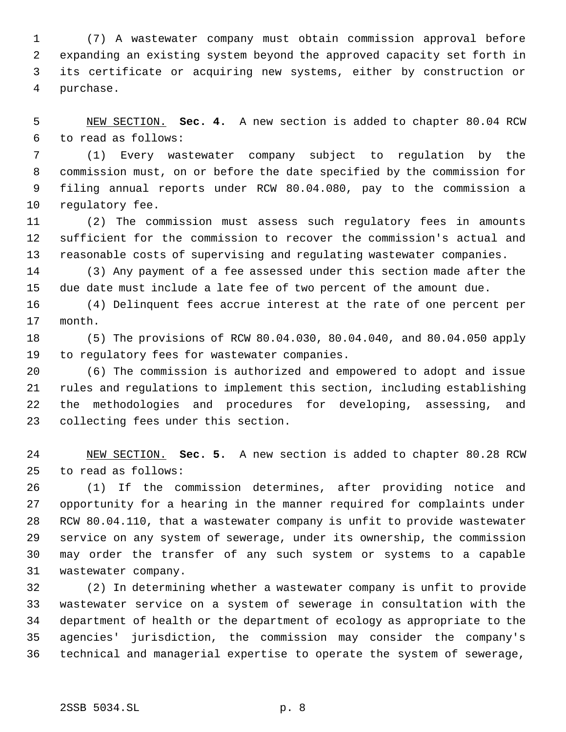(7) A wastewater company must obtain commission approval before expanding an existing system beyond the approved capacity set forth in its certificate or acquiring new systems, either by construction or purchase.

 NEW SECTION. **Sec. 4.** A new section is added to chapter 80.04 RCW to read as follows:

 (1) Every wastewater company subject to regulation by the commission must, on or before the date specified by the commission for filing annual reports under RCW 80.04.080, pay to the commission a regulatory fee.

 (2) The commission must assess such regulatory fees in amounts sufficient for the commission to recover the commission's actual and reasonable costs of supervising and regulating wastewater companies.

 (3) Any payment of a fee assessed under this section made after the due date must include a late fee of two percent of the amount due.

 (4) Delinquent fees accrue interest at the rate of one percent per month.

 (5) The provisions of RCW 80.04.030, 80.04.040, and 80.04.050 apply to regulatory fees for wastewater companies.

 (6) The commission is authorized and empowered to adopt and issue rules and regulations to implement this section, including establishing the methodologies and procedures for developing, assessing, and collecting fees under this section.

 NEW SECTION. **Sec. 5.** A new section is added to chapter 80.28 RCW to read as follows:

 (1) If the commission determines, after providing notice and opportunity for a hearing in the manner required for complaints under RCW 80.04.110, that a wastewater company is unfit to provide wastewater service on any system of sewerage, under its ownership, the commission may order the transfer of any such system or systems to a capable wastewater company.

 (2) In determining whether a wastewater company is unfit to provide wastewater service on a system of sewerage in consultation with the department of health or the department of ecology as appropriate to the agencies' jurisdiction, the commission may consider the company's technical and managerial expertise to operate the system of sewerage,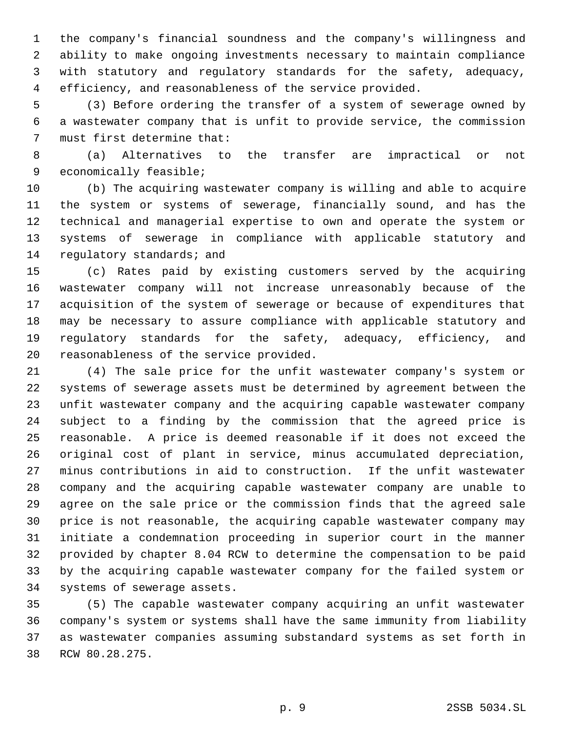the company's financial soundness and the company's willingness and ability to make ongoing investments necessary to maintain compliance with statutory and regulatory standards for the safety, adequacy, efficiency, and reasonableness of the service provided.

 (3) Before ordering the transfer of a system of sewerage owned by a wastewater company that is unfit to provide service, the commission must first determine that:

 (a) Alternatives to the transfer are impractical or not economically feasible;

 (b) The acquiring wastewater company is willing and able to acquire the system or systems of sewerage, financially sound, and has the technical and managerial expertise to own and operate the system or systems of sewerage in compliance with applicable statutory and regulatory standards; and

 (c) Rates paid by existing customers served by the acquiring wastewater company will not increase unreasonably because of the acquisition of the system of sewerage or because of expenditures that may be necessary to assure compliance with applicable statutory and regulatory standards for the safety, adequacy, efficiency, and reasonableness of the service provided.

 (4) The sale price for the unfit wastewater company's system or systems of sewerage assets must be determined by agreement between the unfit wastewater company and the acquiring capable wastewater company subject to a finding by the commission that the agreed price is reasonable. A price is deemed reasonable if it does not exceed the original cost of plant in service, minus accumulated depreciation, minus contributions in aid to construction. If the unfit wastewater company and the acquiring capable wastewater company are unable to agree on the sale price or the commission finds that the agreed sale price is not reasonable, the acquiring capable wastewater company may initiate a condemnation proceeding in superior court in the manner provided by chapter 8.04 RCW to determine the compensation to be paid by the acquiring capable wastewater company for the failed system or systems of sewerage assets.

 (5) The capable wastewater company acquiring an unfit wastewater company's system or systems shall have the same immunity from liability as wastewater companies assuming substandard systems as set forth in RCW 80.28.275.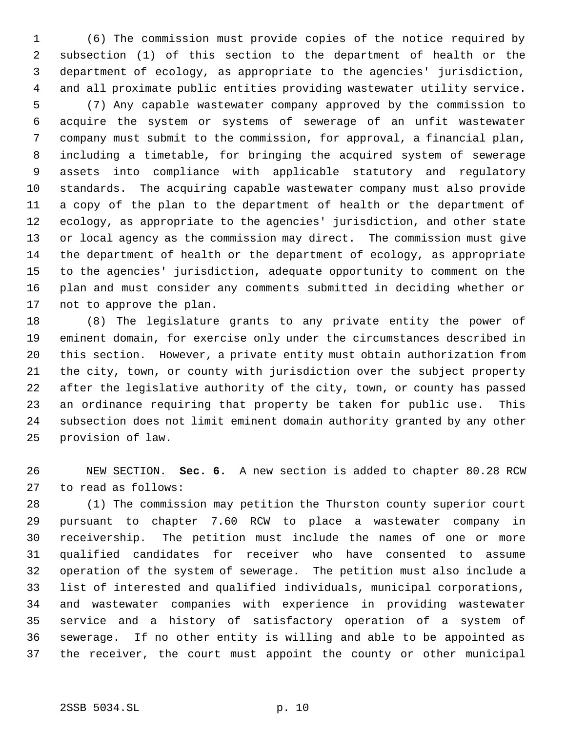(6) The commission must provide copies of the notice required by subsection (1) of this section to the department of health or the department of ecology, as appropriate to the agencies' jurisdiction, and all proximate public entities providing wastewater utility service.

 (7) Any capable wastewater company approved by the commission to acquire the system or systems of sewerage of an unfit wastewater company must submit to the commission, for approval, a financial plan, including a timetable, for bringing the acquired system of sewerage assets into compliance with applicable statutory and regulatory standards. The acquiring capable wastewater company must also provide a copy of the plan to the department of health or the department of ecology, as appropriate to the agencies' jurisdiction, and other state or local agency as the commission may direct. The commission must give the department of health or the department of ecology, as appropriate to the agencies' jurisdiction, adequate opportunity to comment on the plan and must consider any comments submitted in deciding whether or not to approve the plan.

 (8) The legislature grants to any private entity the power of eminent domain, for exercise only under the circumstances described in this section. However, a private entity must obtain authorization from the city, town, or county with jurisdiction over the subject property after the legislative authority of the city, town, or county has passed an ordinance requiring that property be taken for public use. This subsection does not limit eminent domain authority granted by any other provision of law.

 NEW SECTION. **Sec. 6.** A new section is added to chapter 80.28 RCW to read as follows:

 (1) The commission may petition the Thurston county superior court pursuant to chapter 7.60 RCW to place a wastewater company in receivership. The petition must include the names of one or more qualified candidates for receiver who have consented to assume operation of the system of sewerage. The petition must also include a list of interested and qualified individuals, municipal corporations, and wastewater companies with experience in providing wastewater service and a history of satisfactory operation of a system of sewerage. If no other entity is willing and able to be appointed as the receiver, the court must appoint the county or other municipal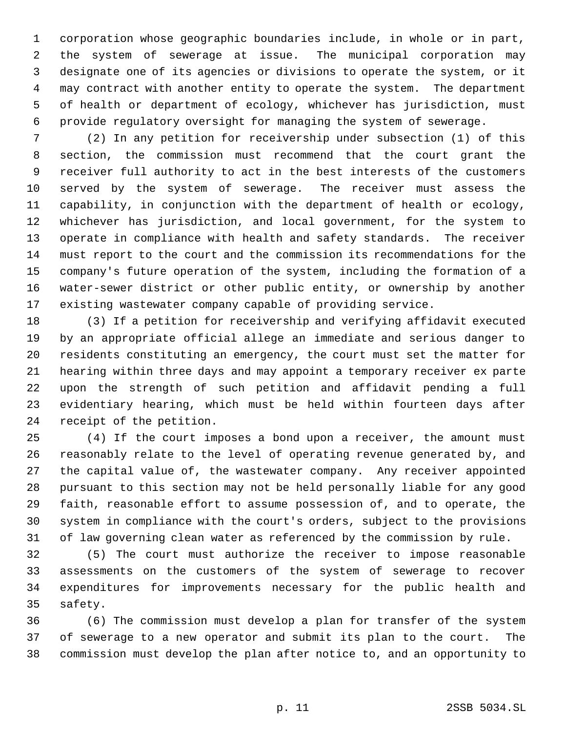corporation whose geographic boundaries include, in whole or in part, the system of sewerage at issue. The municipal corporation may designate one of its agencies or divisions to operate the system, or it may contract with another entity to operate the system. The department of health or department of ecology, whichever has jurisdiction, must provide regulatory oversight for managing the system of sewerage.

 (2) In any petition for receivership under subsection (1) of this section, the commission must recommend that the court grant the receiver full authority to act in the best interests of the customers served by the system of sewerage. The receiver must assess the capability, in conjunction with the department of health or ecology, whichever has jurisdiction, and local government, for the system to operate in compliance with health and safety standards. The receiver must report to the court and the commission its recommendations for the company's future operation of the system, including the formation of a water-sewer district or other public entity, or ownership by another existing wastewater company capable of providing service.

 (3) If a petition for receivership and verifying affidavit executed by an appropriate official allege an immediate and serious danger to residents constituting an emergency, the court must set the matter for hearing within three days and may appoint a temporary receiver ex parte upon the strength of such petition and affidavit pending a full evidentiary hearing, which must be held within fourteen days after receipt of the petition.

 (4) If the court imposes a bond upon a receiver, the amount must reasonably relate to the level of operating revenue generated by, and the capital value of, the wastewater company. Any receiver appointed pursuant to this section may not be held personally liable for any good faith, reasonable effort to assume possession of, and to operate, the system in compliance with the court's orders, subject to the provisions of law governing clean water as referenced by the commission by rule.

 (5) The court must authorize the receiver to impose reasonable assessments on the customers of the system of sewerage to recover expenditures for improvements necessary for the public health and safety.

 (6) The commission must develop a plan for transfer of the system of sewerage to a new operator and submit its plan to the court. The commission must develop the plan after notice to, and an opportunity to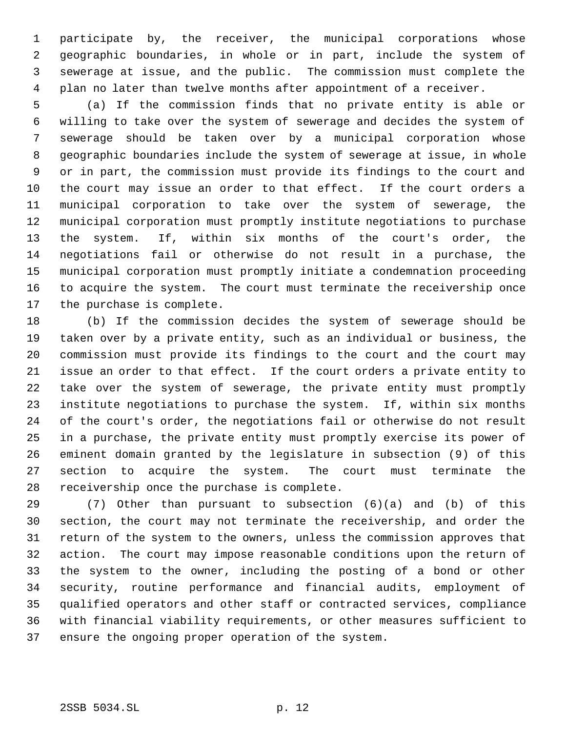participate by, the receiver, the municipal corporations whose geographic boundaries, in whole or in part, include the system of sewerage at issue, and the public. The commission must complete the plan no later than twelve months after appointment of a receiver.

 (a) If the commission finds that no private entity is able or willing to take over the system of sewerage and decides the system of sewerage should be taken over by a municipal corporation whose geographic boundaries include the system of sewerage at issue, in whole or in part, the commission must provide its findings to the court and the court may issue an order to that effect. If the court orders a municipal corporation to take over the system of sewerage, the municipal corporation must promptly institute negotiations to purchase the system. If, within six months of the court's order, the negotiations fail or otherwise do not result in a purchase, the municipal corporation must promptly initiate a condemnation proceeding to acquire the system. The court must terminate the receivership once the purchase is complete.

 (b) If the commission decides the system of sewerage should be taken over by a private entity, such as an individual or business, the commission must provide its findings to the court and the court may issue an order to that effect. If the court orders a private entity to take over the system of sewerage, the private entity must promptly institute negotiations to purchase the system. If, within six months of the court's order, the negotiations fail or otherwise do not result in a purchase, the private entity must promptly exercise its power of eminent domain granted by the legislature in subsection (9) of this section to acquire the system. The court must terminate the receivership once the purchase is complete.

 (7) Other than pursuant to subsection (6)(a) and (b) of this section, the court may not terminate the receivership, and order the return of the system to the owners, unless the commission approves that action. The court may impose reasonable conditions upon the return of the system to the owner, including the posting of a bond or other security, routine performance and financial audits, employment of qualified operators and other staff or contracted services, compliance with financial viability requirements, or other measures sufficient to ensure the ongoing proper operation of the system.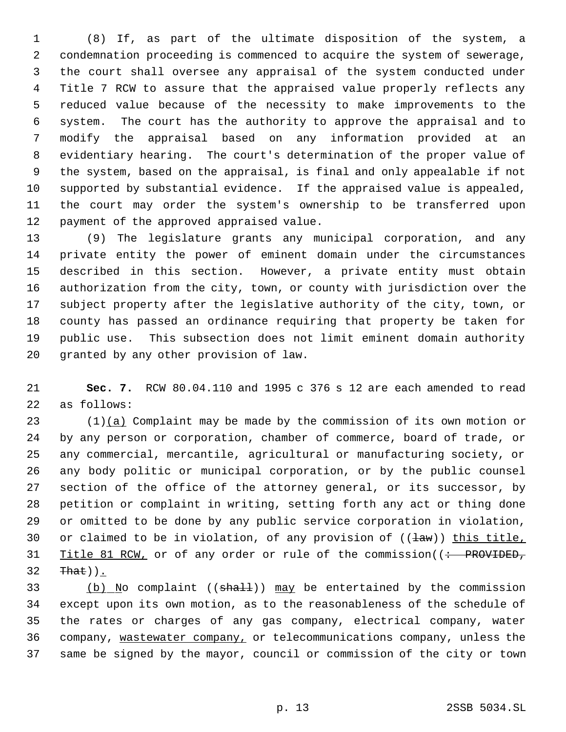(8) If, as part of the ultimate disposition of the system, a condemnation proceeding is commenced to acquire the system of sewerage, the court shall oversee any appraisal of the system conducted under Title 7 RCW to assure that the appraised value properly reflects any reduced value because of the necessity to make improvements to the system. The court has the authority to approve the appraisal and to modify the appraisal based on any information provided at an evidentiary hearing. The court's determination of the proper value of the system, based on the appraisal, is final and only appealable if not supported by substantial evidence. If the appraised value is appealed, the court may order the system's ownership to be transferred upon payment of the approved appraised value.

 (9) The legislature grants any municipal corporation, and any private entity the power of eminent domain under the circumstances described in this section. However, a private entity must obtain authorization from the city, town, or county with jurisdiction over the subject property after the legislative authority of the city, town, or county has passed an ordinance requiring that property be taken for public use. This subsection does not limit eminent domain authority granted by any other provision of law.

 **Sec. 7.** RCW 80.04.110 and 1995 c 376 s 12 are each amended to read as follows:

 (1)(a) Complaint may be made by the commission of its own motion or by any person or corporation, chamber of commerce, board of trade, or any commercial, mercantile, agricultural or manufacturing society, or any body politic or municipal corporation, or by the public counsel section of the office of the attorney general, or its successor, by petition or complaint in writing, setting forth any act or thing done or omitted to be done by any public service corporation in violation, 30 or claimed to be in violation, of any provision of  $((\frac{1}{dw}))$  this title, 31 Title 81 RCW, or of any order or rule of the commission( $\left($  : PROVIDED, That)).

 $(b)$  No complaint ((shall)) may be entertained by the commission except upon its own motion, as to the reasonableness of the schedule of the rates or charges of any gas company, electrical company, water company, wastewater company, or telecommunications company, unless the same be signed by the mayor, council or commission of the city or town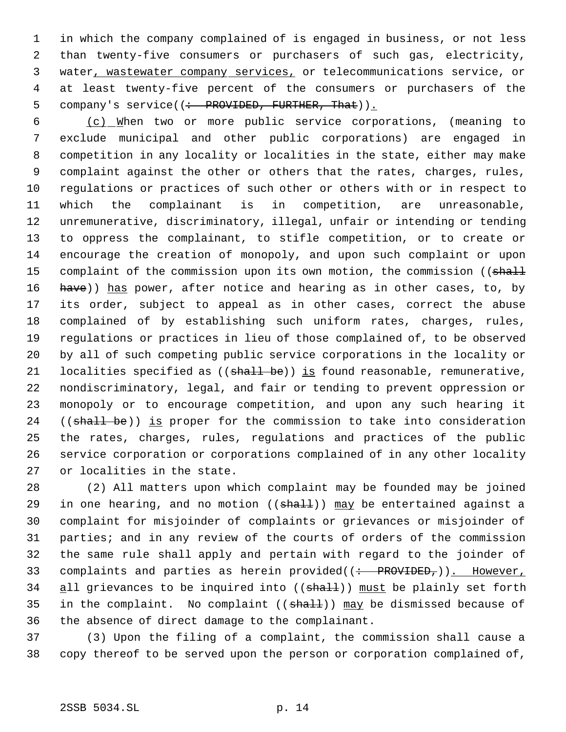in which the company complained of is engaged in business, or not less than twenty-five consumers or purchasers of such gas, electricity, water, wastewater company services, or telecommunications service, or at least twenty-five percent of the consumers or purchasers of the 5 company's service((: PROVIDED, FURTHER, That)).

 (c) When two or more public service corporations, (meaning to exclude municipal and other public corporations) are engaged in competition in any locality or localities in the state, either may make complaint against the other or others that the rates, charges, rules, regulations or practices of such other or others with or in respect to which the complainant is in competition, are unreasonable, unremunerative, discriminatory, illegal, unfair or intending or tending to oppress the complainant, to stifle competition, or to create or encourage the creation of monopoly, and upon such complaint or upon 15 complaint of the commission upon its own motion, the commission ((shall 16 have)) has power, after notice and hearing as in other cases, to, by its order, subject to appeal as in other cases, correct the abuse complained of by establishing such uniform rates, charges, rules, regulations or practices in lieu of those complained of, to be observed by all of such competing public service corporations in the locality or 21 localities specified as  $((shall-be))$  is found reasonable, remunerative, nondiscriminatory, legal, and fair or tending to prevent oppression or monopoly or to encourage competition, and upon any such hearing it 24 ((shall be)) is proper for the commission to take into consideration the rates, charges, rules, regulations and practices of the public service corporation or corporations complained of in any other locality or localities in the state.

 (2) All matters upon which complaint may be founded may be joined 29 in one hearing, and no motion  $((shath))$  may be entertained against a complaint for misjoinder of complaints or grievances or misjoinder of parties; and in any review of the courts of orders of the commission the same rule shall apply and pertain with regard to the joinder of 33 complaints and parties as herein provided( $($  +  $-$ PROVIDED<sub>r</sub> $)$ ). However, 34 all grievances to be inquired into ((shall)) must be plainly set forth 35 in the complaint. No complaint  $((shall))$  may be dismissed because of the absence of direct damage to the complainant.

 (3) Upon the filing of a complaint, the commission shall cause a copy thereof to be served upon the person or corporation complained of,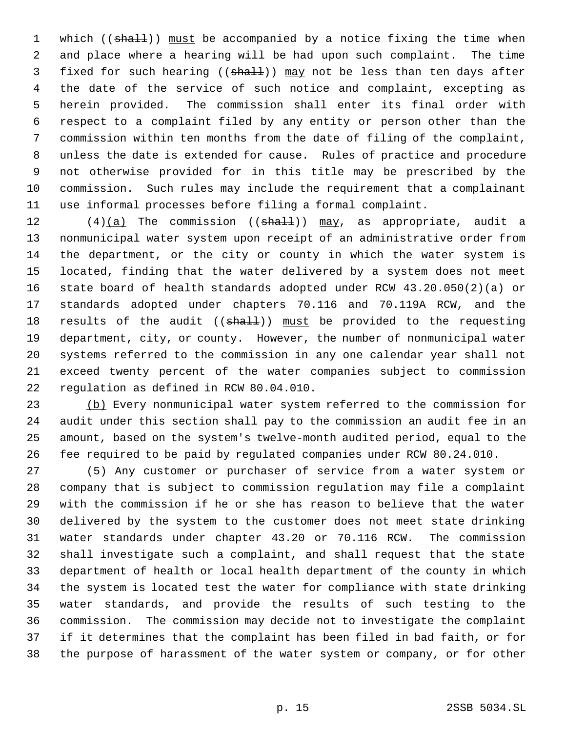1 which ((shall)) must be accompanied by a notice fixing the time when and place where a hearing will be had upon such complaint. The time 3 fixed for such hearing ((shall)) may not be less than ten days after the date of the service of such notice and complaint, excepting as herein provided. The commission shall enter its final order with respect to a complaint filed by any entity or person other than the commission within ten months from the date of filing of the complaint, unless the date is extended for cause. Rules of practice and procedure not otherwise provided for in this title may be prescribed by the commission. Such rules may include the requirement that a complainant use informal processes before filing a formal complaint.

 $(4)(a)$  The commission (( $\frac{1}{2}$ )) may, as appropriate, audit a nonmunicipal water system upon receipt of an administrative order from the department, or the city or county in which the water system is located, finding that the water delivered by a system does not meet state board of health standards adopted under RCW 43.20.050(2)(a) or standards adopted under chapters 70.116 and 70.119A RCW, and the 18 results of the audit ((shall)) must be provided to the requesting department, city, or county. However, the number of nonmunicipal water systems referred to the commission in any one calendar year shall not exceed twenty percent of the water companies subject to commission regulation as defined in RCW 80.04.010.

23 (b) Every nonmunicipal water system referred to the commission for audit under this section shall pay to the commission an audit fee in an amount, based on the system's twelve-month audited period, equal to the fee required to be paid by regulated companies under RCW 80.24.010.

 (5) Any customer or purchaser of service from a water system or company that is subject to commission regulation may file a complaint with the commission if he or she has reason to believe that the water delivered by the system to the customer does not meet state drinking water standards under chapter 43.20 or 70.116 RCW. The commission shall investigate such a complaint, and shall request that the state department of health or local health department of the county in which the system is located test the water for compliance with state drinking water standards, and provide the results of such testing to the commission. The commission may decide not to investigate the complaint if it determines that the complaint has been filed in bad faith, or for the purpose of harassment of the water system or company, or for other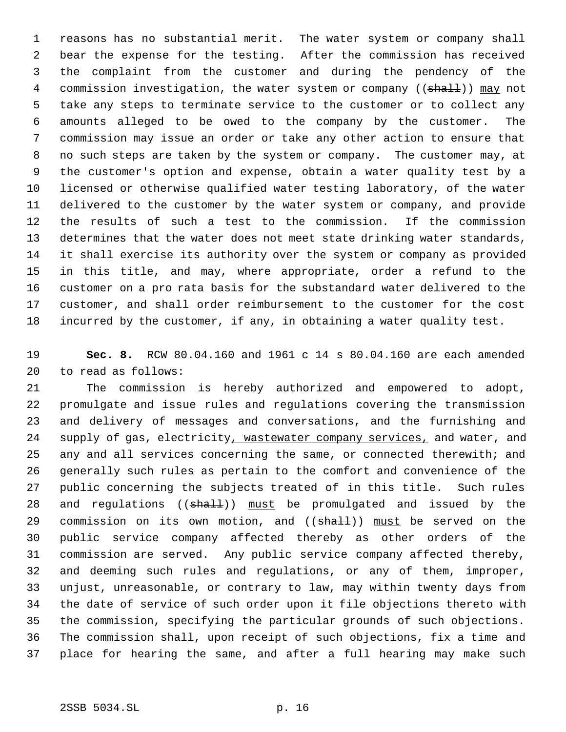reasons has no substantial merit. The water system or company shall bear the expense for the testing. After the commission has received the complaint from the customer and during the pendency of the 4 commission investigation, the water system or company ((shall)) may not take any steps to terminate service to the customer or to collect any amounts alleged to be owed to the company by the customer. The commission may issue an order or take any other action to ensure that no such steps are taken by the system or company. The customer may, at the customer's option and expense, obtain a water quality test by a licensed or otherwise qualified water testing laboratory, of the water delivered to the customer by the water system or company, and provide the results of such a test to the commission. If the commission determines that the water does not meet state drinking water standards, it shall exercise its authority over the system or company as provided in this title, and may, where appropriate, order a refund to the customer on a pro rata basis for the substandard water delivered to the customer, and shall order reimbursement to the customer for the cost incurred by the customer, if any, in obtaining a water quality test.

 **Sec. 8.** RCW 80.04.160 and 1961 c 14 s 80.04.160 are each amended to read as follows:

 The commission is hereby authorized and empowered to adopt, promulgate and issue rules and regulations covering the transmission and delivery of messages and conversations, and the furnishing and 24 supply of gas, electricity, wastewater company services, and water, and any and all services concerning the same, or connected therewith; and generally such rules as pertain to the comfort and convenience of the public concerning the subjects treated of in this title. Such rules 28 and regulations ((shall)) must be promulgated and issued by the 29 commission on its own motion, and ((shall)) must be served on the public service company affected thereby as other orders of the commission are served. Any public service company affected thereby, and deeming such rules and regulations, or any of them, improper, unjust, unreasonable, or contrary to law, may within twenty days from the date of service of such order upon it file objections thereto with the commission, specifying the particular grounds of such objections. The commission shall, upon receipt of such objections, fix a time and place for hearing the same, and after a full hearing may make such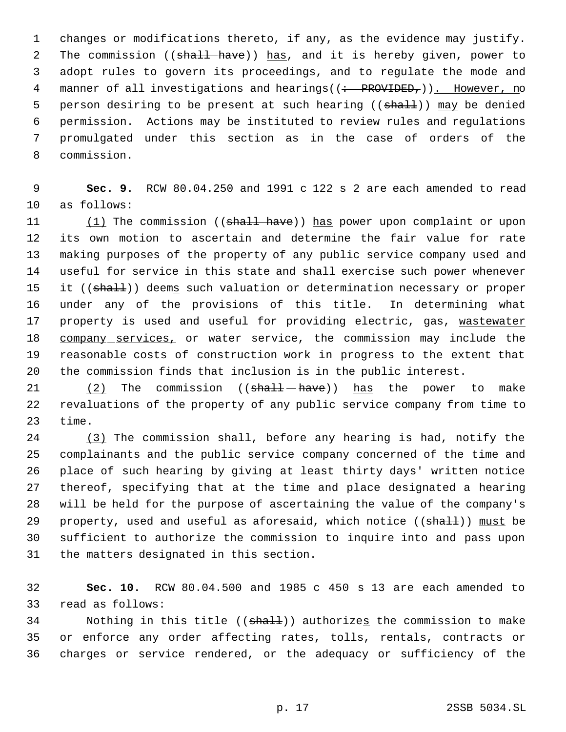changes or modifications thereto, if any, as the evidence may justify. 2 The commission ((shall have)) has, and it is hereby given, power to adopt rules to govern its proceedings, and to regulate the mode and 4 manner of all investigations and hearings((: PROVIDED,)). However, no 5 person desiring to be present at such hearing ((shall)) may be denied permission. Actions may be instituted to review rules and regulations promulgated under this section as in the case of orders of the commission.

 **Sec. 9.** RCW 80.04.250 and 1991 c 122 s 2 are each amended to read as follows:

11 (1) The commission ((shall have)) has power upon complaint or upon its own motion to ascertain and determine the fair value for rate making purposes of the property of any public service company used and useful for service in this state and shall exercise such power whenever 15 it ((shall)) deems such valuation or determination necessary or proper under any of the provisions of this title. In determining what 17 property is used and useful for providing electric, gas, wastewater 18 company services, or water service, the commission may include the reasonable costs of construction work in progress to the extent that the commission finds that inclusion is in the public interest.

21 (2) The commission ((shall-have)) has the power to make revaluations of the property of any public service company from time to time.

 (3) The commission shall, before any hearing is had, notify the complainants and the public service company concerned of the time and place of such hearing by giving at least thirty days' written notice thereof, specifying that at the time and place designated a hearing will be held for the purpose of ascertaining the value of the company's 29 property, used and useful as aforesaid, which notice  $((shall))$  must be sufficient to authorize the commission to inquire into and pass upon the matters designated in this section.

 **Sec. 10.** RCW 80.04.500 and 1985 c 450 s 13 are each amended to read as follows:

34 Nothing in this title ((shall)) authorizes the commission to make or enforce any order affecting rates, tolls, rentals, contracts or charges or service rendered, or the adequacy or sufficiency of the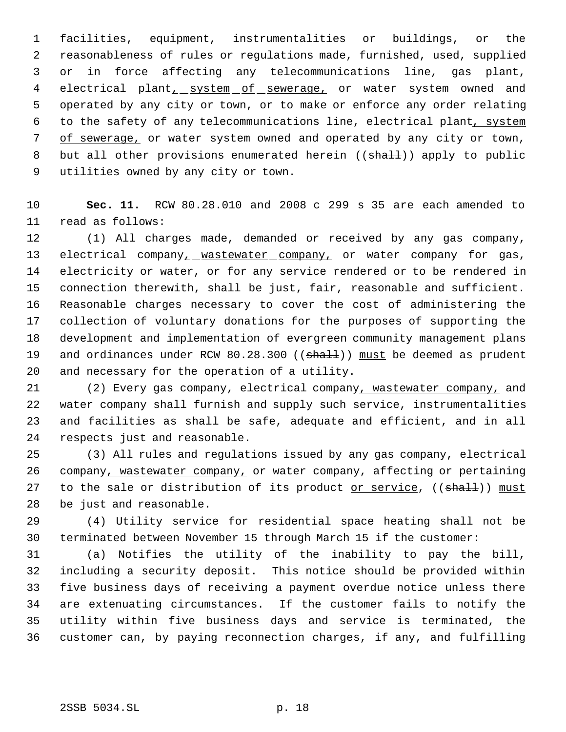facilities, equipment, instrumentalities or buildings, or the reasonableness of rules or regulations made, furnished, used, supplied or in force affecting any telecommunications line, gas plant, 4 electrical plant<sub>1</sub> system of sewerage, or water system owned and operated by any city or town, or to make or enforce any order relating to the safety of any telecommunications line, electrical plant, system of sewerage, or water system owned and operated by any city or town, 8 but all other provisions enumerated herein ((shall)) apply to public utilities owned by any city or town.

 **Sec. 11.** RCW 80.28.010 and 2008 c 299 s 35 are each amended to read as follows:

 (1) All charges made, demanded or received by any gas company, 13 electrical company, wastewater company, or water company for gas, electricity or water, or for any service rendered or to be rendered in connection therewith, shall be just, fair, reasonable and sufficient. Reasonable charges necessary to cover the cost of administering the collection of voluntary donations for the purposes of supporting the development and implementation of evergreen community management plans 19 and ordinances under RCW 80.28.300 ((shall)) must be deemed as prudent and necessary for the operation of a utility.

 (2) Every gas company, electrical company, wastewater company, and water company shall furnish and supply such service, instrumentalities and facilities as shall be safe, adequate and efficient, and in all respects just and reasonable.

 (3) All rules and regulations issued by any gas company, electrical company, wastewater company, or water company, affecting or pertaining 27 to the sale or distribution of its product or service, ((shall)) must be just and reasonable.

 (4) Utility service for residential space heating shall not be terminated between November 15 through March 15 if the customer:

 (a) Notifies the utility of the inability to pay the bill, including a security deposit. This notice should be provided within five business days of receiving a payment overdue notice unless there are extenuating circumstances. If the customer fails to notify the utility within five business days and service is terminated, the customer can, by paying reconnection charges, if any, and fulfilling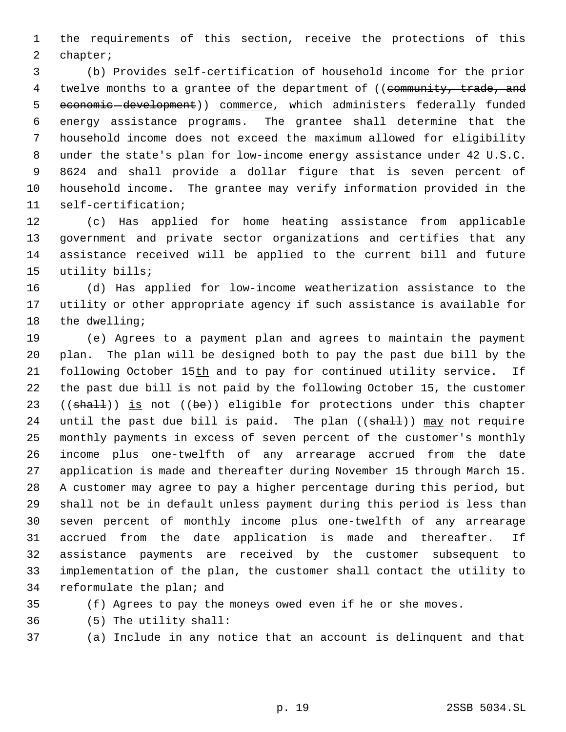the requirements of this section, receive the protections of this chapter;

 (b) Provides self-certification of household income for the prior 4 twelve months to a grantee of the department of ((community, trade, and economic development)) commerce, which administers federally funded energy assistance programs. The grantee shall determine that the household income does not exceed the maximum allowed for eligibility under the state's plan for low-income energy assistance under 42 U.S.C. 8624 and shall provide a dollar figure that is seven percent of household income. The grantee may verify information provided in the self-certification;

 (c) Has applied for home heating assistance from applicable government and private sector organizations and certifies that any assistance received will be applied to the current bill and future utility bills;

 (d) Has applied for low-income weatherization assistance to the utility or other appropriate agency if such assistance is available for the dwelling;

 (e) Agrees to a payment plan and agrees to maintain the payment plan. The plan will be designed both to pay the past due bill by the 21 following October 15th and to pay for continued utility service. If the past due bill is not paid by the following October 15, the customer 23 (( $shalt$ )) is not ( $be$ )) eligible for protections under this chapter 24 until the past due bill is paid. The plan ((shall)) may not require monthly payments in excess of seven percent of the customer's monthly income plus one-twelfth of any arrearage accrued from the date application is made and thereafter during November 15 through March 15. A customer may agree to pay a higher percentage during this period, but shall not be in default unless payment during this period is less than seven percent of monthly income plus one-twelfth of any arrearage accrued from the date application is made and thereafter. If assistance payments are received by the customer subsequent to implementation of the plan, the customer shall contact the utility to reformulate the plan; and

- 
- (f) Agrees to pay the moneys owed even if he or she moves.
- (5) The utility shall:
- 
- (a) Include in any notice that an account is delinquent and that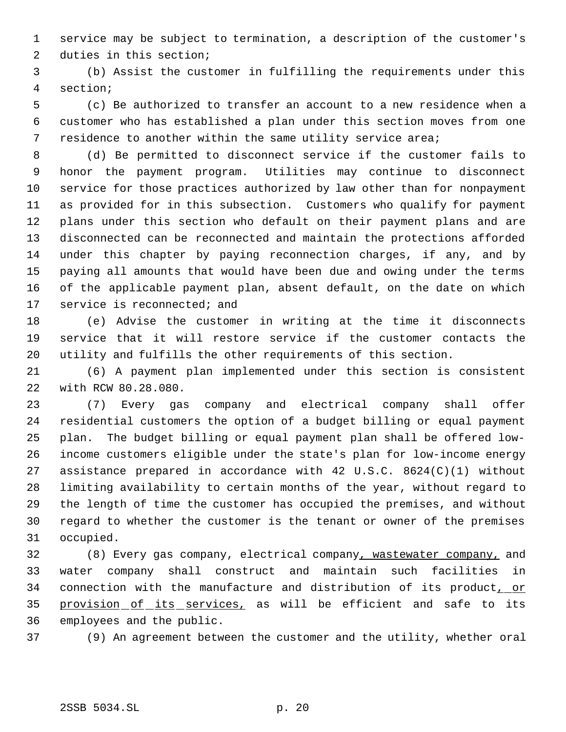service may be subject to termination, a description of the customer's duties in this section;

 (b) Assist the customer in fulfilling the requirements under this section;

 (c) Be authorized to transfer an account to a new residence when a customer who has established a plan under this section moves from one residence to another within the same utility service area;

 (d) Be permitted to disconnect service if the customer fails to honor the payment program. Utilities may continue to disconnect service for those practices authorized by law other than for nonpayment as provided for in this subsection. Customers who qualify for payment plans under this section who default on their payment plans and are disconnected can be reconnected and maintain the protections afforded under this chapter by paying reconnection charges, if any, and by paying all amounts that would have been due and owing under the terms of the applicable payment plan, absent default, on the date on which 17 service is reconnected; and

 (e) Advise the customer in writing at the time it disconnects service that it will restore service if the customer contacts the utility and fulfills the other requirements of this section.

 (6) A payment plan implemented under this section is consistent with RCW 80.28.080.

 (7) Every gas company and electrical company shall offer residential customers the option of a budget billing or equal payment plan. The budget billing or equal payment plan shall be offered low- income customers eligible under the state's plan for low-income energy assistance prepared in accordance with 42 U.S.C. 8624(C)(1) without limiting availability to certain months of the year, without regard to the length of time the customer has occupied the premises, and without regard to whether the customer is the tenant or owner of the premises occupied.

 (8) Every gas company, electrical company, wastewater company, and water company shall construct and maintain such facilities in 34 connection with the manufacture and distribution of its product, or 35 provision of its services, as will be efficient and safe to its employees and the public.

(9) An agreement between the customer and the utility, whether oral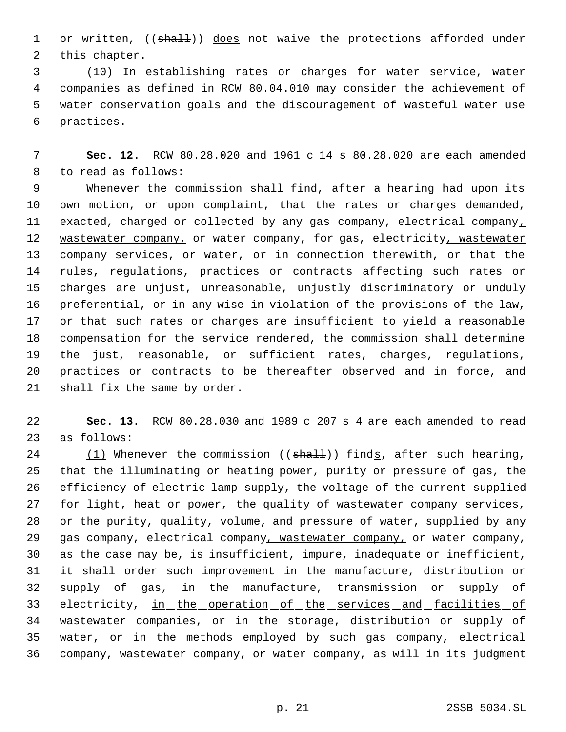1 or written, ((shall)) does not waive the protections afforded under this chapter.

 (10) In establishing rates or charges for water service, water companies as defined in RCW 80.04.010 may consider the achievement of water conservation goals and the discouragement of wasteful water use practices.

 **Sec. 12.** RCW 80.28.020 and 1961 c 14 s 80.28.020 are each amended to read as follows:

 Whenever the commission shall find, after a hearing had upon its own motion, or upon complaint, that the rates or charges demanded, 11 exacted, charged or collected by any gas company, electrical company, 12 wastewater company, or water company, for gas, electricity, wastewater company services, or water, or in connection therewith, or that the rules, regulations, practices or contracts affecting such rates or charges are unjust, unreasonable, unjustly discriminatory or unduly preferential, or in any wise in violation of the provisions of the law, or that such rates or charges are insufficient to yield a reasonable compensation for the service rendered, the commission shall determine the just, reasonable, or sufficient rates, charges, regulations, practices or contracts to be thereafter observed and in force, and shall fix the same by order.

 **Sec. 13.** RCW 80.28.030 and 1989 c 207 s 4 are each amended to read as follows:

24 (1) Whenever the commission (( $shall$ )) finds, after such hearing, that the illuminating or heating power, purity or pressure of gas, the efficiency of electric lamp supply, the voltage of the current supplied 27 for light, heat or power, the quality of wastewater company services, or the purity, quality, volume, and pressure of water, supplied by any 29 gas company, electrical company, wastewater company, or water company, as the case may be, is insufficient, impure, inadequate or inefficient, it shall order such improvement in the manufacture, distribution or supply of gas, in the manufacture, transmission or supply of 33 electricity, in the operation of the services and facilities of wastewater companies, or in the storage, distribution or supply of water, or in the methods employed by such gas company, electrical company, wastewater company, or water company, as will in its judgment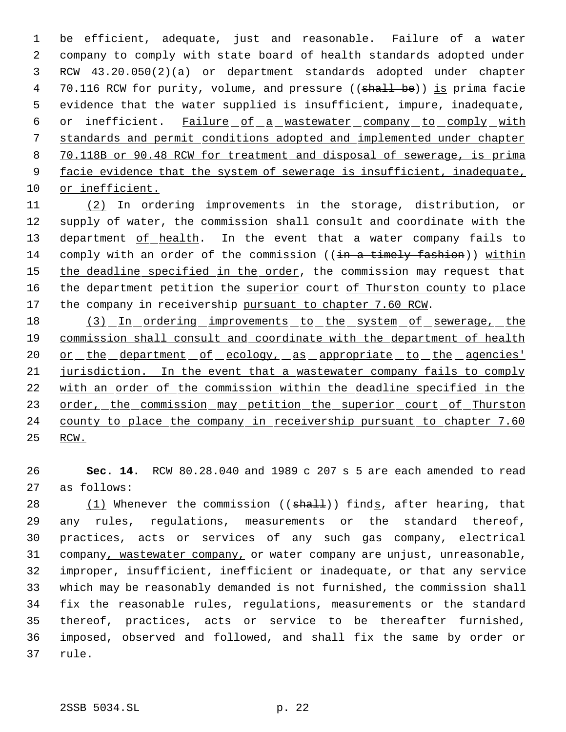be efficient, adequate, just and reasonable. Failure of a water company to comply with state board of health standards adopted under RCW 43.20.050(2)(a) or department standards adopted under chapter 4 70.116 RCW for purity, volume, and pressure ((shall be)) is prima facie evidence that the water supplied is insufficient, impure, inadequate, 6 or inefficient. Failure of a wastewater company to comply with standards and permit conditions adopted and implemented under chapter 70.118B or 90.48 RCW for treatment and disposal of sewerage, is prima 9 facie evidence that the system of sewerage is insufficient, inadequate, or inefficient.

11 (2) In ordering improvements in the storage, distribution, or 12 supply of water, the commission shall consult and coordinate with the 13 department of health. In the event that a water company fails to 14 comply with an order of the commission ((in a timely fashion)) within 15 the deadline specified in the order, the commission may request that 16 the department petition the superior court of Thurston county to place 17 the company in receivership pursuant to chapter 7.60 RCW.

18 (3) In ordering improvements to the system of sewerage, the 19 commission shall consult and coordinate with the department of health 20 or the department of ecology, as appropriate to the agencies' 21 jurisdiction. In the event that a wastewater company fails to comply 22 with an order of the commission within the deadline specified in the 23 order, the commission may petition the superior court of Thurston 24 county to place the company in receivership pursuant to chapter 7.60 25 RCW.

26 **Sec. 14.** RCW 80.28.040 and 1989 c 207 s 5 are each amended to read 27 as follows:

 $(1)$  Whenever the commission ((shall)) finds, after hearing, that any rules, regulations, measurements or the standard thereof, practices, acts or services of any such gas company, electrical 31 company, wastewater company, or water company are unjust, unreasonable, improper, insufficient, inefficient or inadequate, or that any service which may be reasonably demanded is not furnished, the commission shall fix the reasonable rules, regulations, measurements or the standard thereof, practices, acts or service to be thereafter furnished, imposed, observed and followed, and shall fix the same by order or 37 rule.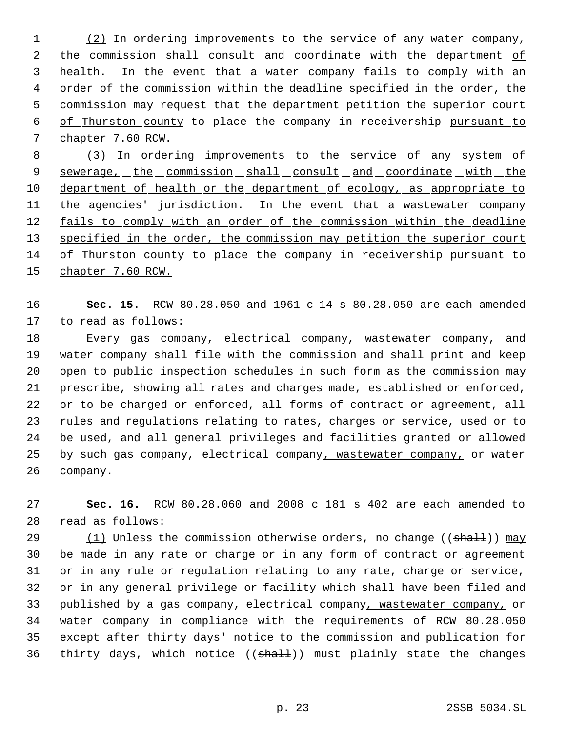(2) In ordering improvements to the service of any water company, 2 the commission shall consult and coordinate with the department of 3 health. In the event that a water company fails to comply with an order of the commission within the deadline specified in the order, the 5 commission may request that the department petition the superior court of Thurston county to place the company in receivership pursuant to chapter 7.60 RCW.

8 (3) In ordering improvements to the service of any system of 9 sewerage, the commission shall consult and coordinate with the 10 department of health or the department of ecology, as appropriate to 11 the agencies' jurisdiction. In the event that a wastewater company 12 fails to comply with an order of the commission within the deadline 13 specified in the order, the commission may petition the superior court of Thurston county to place the company in receivership pursuant to chapter 7.60 RCW.

 **Sec. 15.** RCW 80.28.050 and 1961 c 14 s 80.28.050 are each amended to read as follows:

18 Every gas company, electrical company, wastewater company, and water company shall file with the commission and shall print and keep open to public inspection schedules in such form as the commission may prescribe, showing all rates and charges made, established or enforced, or to be charged or enforced, all forms of contract or agreement, all rules and regulations relating to rates, charges or service, used or to be used, and all general privileges and facilities granted or allowed 25 by such gas company, electrical company, wastewater company, or water company.

 **Sec. 16.** RCW 80.28.060 and 2008 c 181 s 402 are each amended to read as follows:

 $(1)$  Unless the commission otherwise orders, no change (( $\text{shall}$ )) may be made in any rate or charge or in any form of contract or agreement or in any rule or regulation relating to any rate, charge or service, or in any general privilege or facility which shall have been filed and published by a gas company, electrical company, wastewater company, or water company in compliance with the requirements of RCW 80.28.050 except after thirty days' notice to the commission and publication for 36 thirty days, which notice  $((\text{shall}))$  must plainly state the changes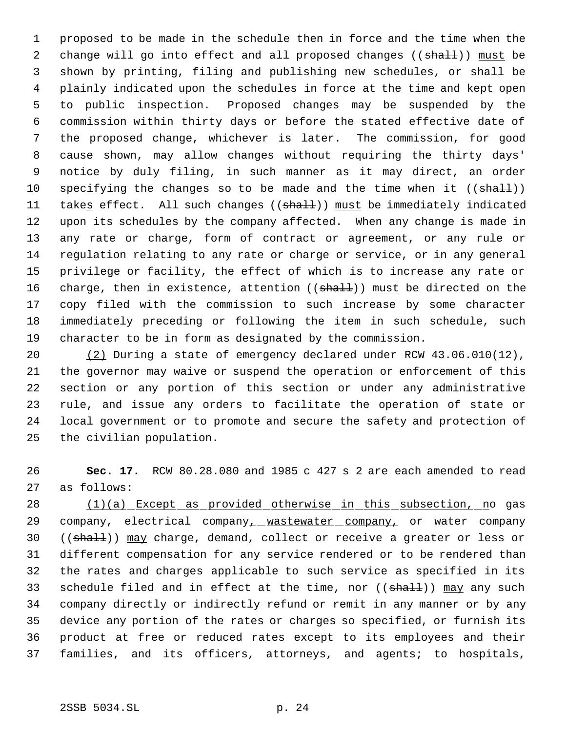proposed to be made in the schedule then in force and the time when the 2 change will go into effect and all proposed changes ((shall)) must be shown by printing, filing and publishing new schedules, or shall be plainly indicated upon the schedules in force at the time and kept open to public inspection. Proposed changes may be suspended by the commission within thirty days or before the stated effective date of the proposed change, whichever is later. The commission, for good cause shown, may allow changes without requiring the thirty days' notice by duly filing, in such manner as it may direct, an order 10 specifying the changes so to be made and the time when it  $((shath))$ 11 takes effect. All such changes ((shall)) must be immediately indicated upon its schedules by the company affected. When any change is made in any rate or charge, form of contract or agreement, or any rule or regulation relating to any rate or charge or service, or in any general privilege or facility, the effect of which is to increase any rate or 16 charge, then in existence, attention ((shall)) must be directed on the copy filed with the commission to such increase by some character immediately preceding or following the item in such schedule, such character to be in form as designated by the commission.

 (2) During a state of emergency declared under RCW 43.06.010(12), the governor may waive or suspend the operation or enforcement of this section or any portion of this section or under any administrative rule, and issue any orders to facilitate the operation of state or local government or to promote and secure the safety and protection of the civilian population.

 **Sec. 17.** RCW 80.28.080 and 1985 c 427 s 2 are each amended to read as follows:

28 (1)(a) Except as provided otherwise in this subsection, no gas 29 company, electrical company<sub>1</sub> wastewater company, or water company 30 ((shall)) may charge, demand, collect or receive a greater or less or different compensation for any service rendered or to be rendered than the rates and charges applicable to such service as specified in its 33 schedule filed and in effect at the time, nor ((shall)) may any such company directly or indirectly refund or remit in any manner or by any device any portion of the rates or charges so specified, or furnish its product at free or reduced rates except to its employees and their families, and its officers, attorneys, and agents; to hospitals,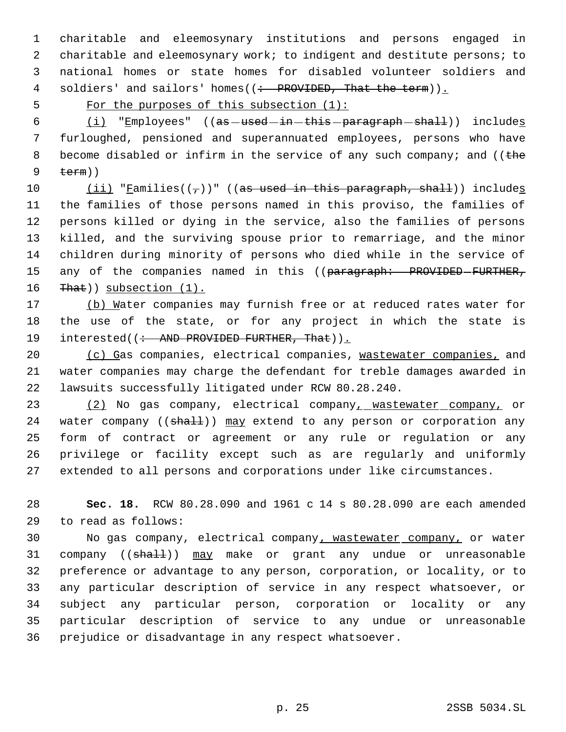charitable and eleemosynary institutions and persons engaged in 2 charitable and eleemosynary work; to indigent and destitute persons; to national homes or state homes for disabled volunteer soldiers and 4 soldiers' and sailors' homes((: PROVIDED, That the term)).

5 For the purposes of this subsection (1):

 $(i)$  "Employees" ((as used in this paragraph shall)) includes furloughed, pensioned and superannuated employees, persons who have 8 become disabled or infirm in the service of any such company; and ((the  $9 + \text{term})$ 

 $(iii)$  "Families(( $\tau$ ))" ((as used in this paragraph, shall)) includes the families of those persons named in this proviso, the families of persons killed or dying in the service, also the families of persons killed, and the surviving spouse prior to remarriage, and the minor children during minority of persons who died while in the service of 15 any of the companies named in this ((paragraph: PROVIDED-FURTHER, 16 That)) subsection (1).

17 (b) Water companies may furnish free or at reduced rates water for the use of the state, or for any project in which the state is 19 interested((: AND PROVIDED FURTHER, That)).

20 (c) Gas companies, electrical companies, wastewater companies, and water companies may charge the defendant for treble damages awarded in lawsuits successfully litigated under RCW 80.28.240.

 (2) No gas company, electrical company, wastewater company, or 24 water company ((shall)) may extend to any person or corporation any form of contract or agreement or any rule or regulation or any privilege or facility except such as are regularly and uniformly extended to all persons and corporations under like circumstances.

 **Sec. 18.** RCW 80.28.090 and 1961 c 14 s 80.28.090 are each amended to read as follows:

 No gas company, electrical company, wastewater company, or water 31 company ((shall)) may make or grant any undue or unreasonable preference or advantage to any person, corporation, or locality, or to any particular description of service in any respect whatsoever, or subject any particular person, corporation or locality or any particular description of service to any undue or unreasonable prejudice or disadvantage in any respect whatsoever.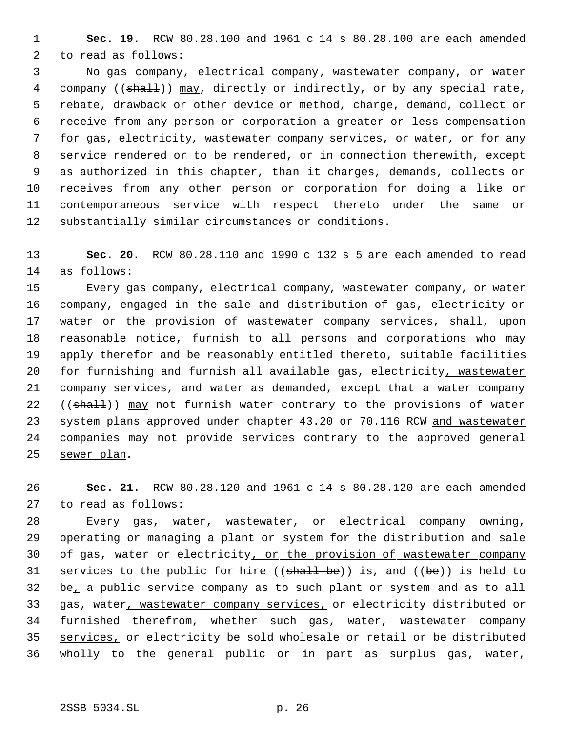**Sec. 19.** RCW 80.28.100 and 1961 c 14 s 80.28.100 are each amended to read as follows:

 No gas company, electrical company, wastewater company, or water 4 company ((shall)) may, directly or indirectly, or by any special rate, rebate, drawback or other device or method, charge, demand, collect or receive from any person or corporation a greater or less compensation for gas, electricity, wastewater company services, or water, or for any service rendered or to be rendered, or in connection therewith, except as authorized in this chapter, than it charges, demands, collects or receives from any other person or corporation for doing a like or contemporaneous service with respect thereto under the same or substantially similar circumstances or conditions.

 **Sec. 20.** RCW 80.28.110 and 1990 c 132 s 5 are each amended to read as follows:

15 Every gas company, electrical company, wastewater company, or water company, engaged in the sale and distribution of gas, electricity or 17 water or the provision of wastewater company services, shall, upon reasonable notice, furnish to all persons and corporations who may apply therefor and be reasonably entitled thereto, suitable facilities 20 for furnishing and furnish all available gas, electricity, wastewater 21 company services, and water as demanded, except that a water company 22 ((shall)) may not furnish water contrary to the provisions of water 23 system plans approved under chapter 43.20 or 70.116 RCW and wastewater companies may not provide services contrary to the approved general sewer plan.

 **Sec. 21.** RCW 80.28.120 and 1961 c 14 s 80.28.120 are each amended to read as follows:

28 Every gas, water<sub>1</sub> wastewater, or electrical company owning, operating or managing a plant or system for the distribution and sale 30 of gas, water or electricity, or the provision of wastewater company 31 services to the public for hire (( $shall be$ )) is, and ( $(be)$ ) is held to be, a public service company as to such plant or system and as to all 33 gas, water, wastewater company services, or electricity distributed or furnished therefrom, whether such gas, water, wastewater company 35 services, or electricity be sold wholesale or retail or be distributed 36 wholly to the general public or in part as surplus gas, water,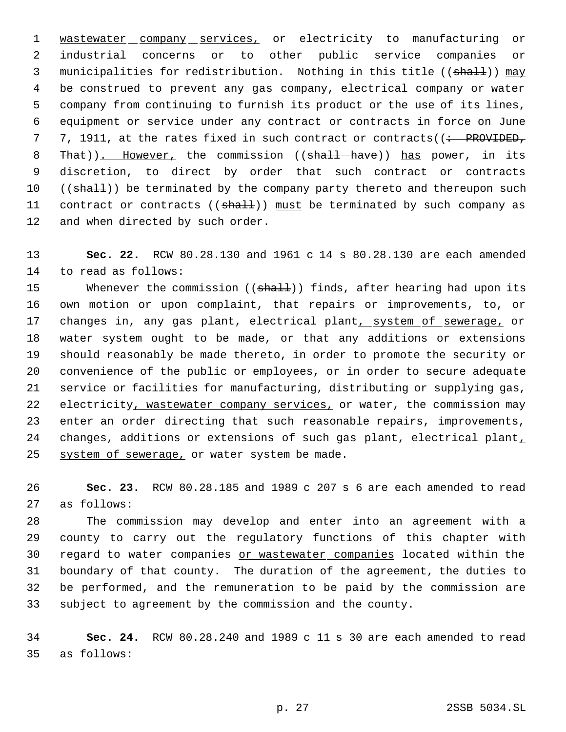1 wastewater company services, or electricity to manufacturing or industrial concerns or to other public service companies or 3 municipalities for redistribution. Nothing in this title ((shall)) may be construed to prevent any gas company, electrical company or water company from continuing to furnish its product or the use of its lines, equipment or service under any contract or contracts in force on June 7 7, 1911, at the rates fixed in such contract or contracts((: PROVIDED, 8 That)). However, the commission ((shall-have)) has power, in its discretion, to direct by order that such contract or contracts 10 ((shall)) be terminated by the company party thereto and thereupon such 11 contract or contracts ((shall)) must be terminated by such company as 12 and when directed by such order.

 **Sec. 22.** RCW 80.28.130 and 1961 c 14 s 80.28.130 are each amended to read as follows:

15 Whenever the commission ((shall)) finds, after hearing had upon its own motion or upon complaint, that repairs or improvements, to, or 17 changes in, any gas plant, electrical plant, system of sewerage, or water system ought to be made, or that any additions or extensions should reasonably be made thereto, in order to promote the security or convenience of the public or employees, or in order to secure adequate service or facilities for manufacturing, distributing or supplying gas, 22 electricity, wastewater company services, or water, the commission may enter an order directing that such reasonable repairs, improvements, 24 changes, additions or extensions of such gas plant, electrical plant, 25 system of sewerage, or water system be made.

 **Sec. 23.** RCW 80.28.185 and 1989 c 207 s 6 are each amended to read as follows:

 The commission may develop and enter into an agreement with a county to carry out the regulatory functions of this chapter with regard to water companies or wastewater companies located within the boundary of that county. The duration of the agreement, the duties to be performed, and the remuneration to be paid by the commission are subject to agreement by the commission and the county.

 **Sec. 24.** RCW 80.28.240 and 1989 c 11 s 30 are each amended to read as follows: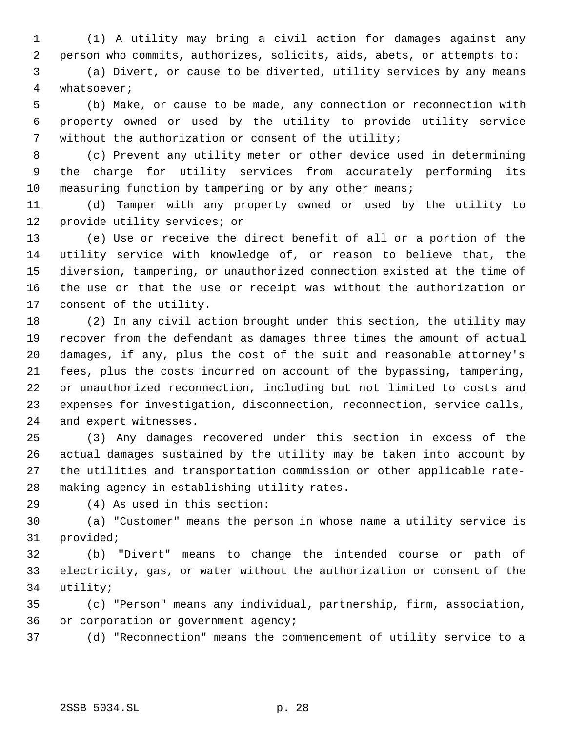(1) A utility may bring a civil action for damages against any person who commits, authorizes, solicits, aids, abets, or attempts to:

 (a) Divert, or cause to be diverted, utility services by any means whatsoever;

 (b) Make, or cause to be made, any connection or reconnection with property owned or used by the utility to provide utility service without the authorization or consent of the utility;

 (c) Prevent any utility meter or other device used in determining the charge for utility services from accurately performing its measuring function by tampering or by any other means;

 (d) Tamper with any property owned or used by the utility to provide utility services; or

 (e) Use or receive the direct benefit of all or a portion of the utility service with knowledge of, or reason to believe that, the diversion, tampering, or unauthorized connection existed at the time of the use or that the use or receipt was without the authorization or consent of the utility.

 (2) In any civil action brought under this section, the utility may recover from the defendant as damages three times the amount of actual damages, if any, plus the cost of the suit and reasonable attorney's fees, plus the costs incurred on account of the bypassing, tampering, or unauthorized reconnection, including but not limited to costs and expenses for investigation, disconnection, reconnection, service calls, and expert witnesses.

 (3) Any damages recovered under this section in excess of the actual damages sustained by the utility may be taken into account by the utilities and transportation commission or other applicable rate-making agency in establishing utility rates.

(4) As used in this section:

 (a) "Customer" means the person in whose name a utility service is provided;

 (b) "Divert" means to change the intended course or path of electricity, gas, or water without the authorization or consent of the utility;

 (c) "Person" means any individual, partnership, firm, association, or corporation or government agency;

(d) "Reconnection" means the commencement of utility service to a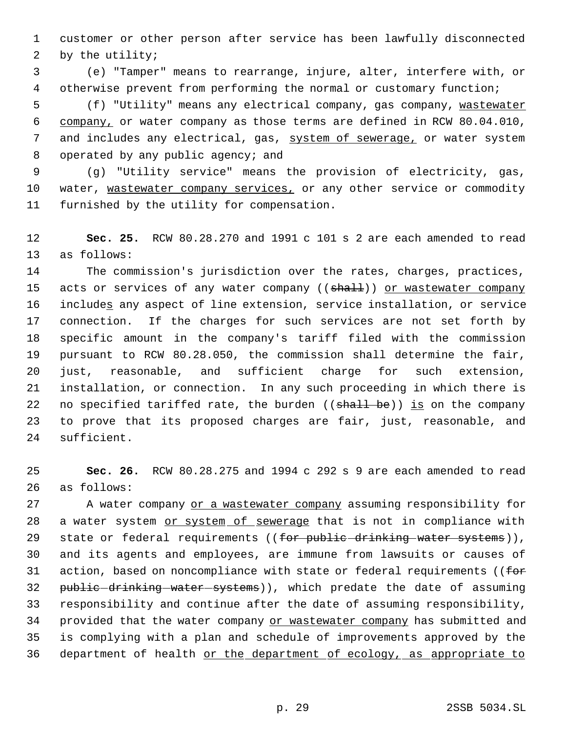customer or other person after service has been lawfully disconnected by the utility;

 (e) "Tamper" means to rearrange, injure, alter, interfere with, or otherwise prevent from performing the normal or customary function;

5 (f) "Utility" means any electrical company, gas company, wastewater company, or water company as those terms are defined in RCW 80.04.010, and includes any electrical, gas, system of sewerage, or water system operated by any public agency; and

 (g) "Utility service" means the provision of electricity, gas, 10 water, wastewater company services, or any other service or commodity furnished by the utility for compensation.

 **Sec. 25.** RCW 80.28.270 and 1991 c 101 s 2 are each amended to read as follows:

 The commission's jurisdiction over the rates, charges, practices, 15 acts or services of any water company ((shall)) or wastewater company 16 includes any aspect of line extension, service installation, or service connection. If the charges for such services are not set forth by specific amount in the company's tariff filed with the commission pursuant to RCW 80.28.050, the commission shall determine the fair, just, reasonable, and sufficient charge for such extension, installation, or connection. In any such proceeding in which there is 22 no specified tariffed rate, the burden ((shall be)) is on the company to prove that its proposed charges are fair, just, reasonable, and sufficient.

 **Sec. 26.** RCW 80.28.275 and 1994 c 292 s 9 are each amended to read as follows:

27 A water company or a wastewater company assuming responsibility for 28 a water system or system of sewerage that is not in compliance with 29 state or federal requirements ((for public drinking water systems)), and its agents and employees, are immune from lawsuits or causes of 31 action, based on noncompliance with state or federal requirements ((for 32 public drinking water systems)), which predate the date of assuming responsibility and continue after the date of assuming responsibility, 34 provided that the water company or wastewater company has submitted and is complying with a plan and schedule of improvements approved by the 36 department of health or the department of ecology, as appropriate to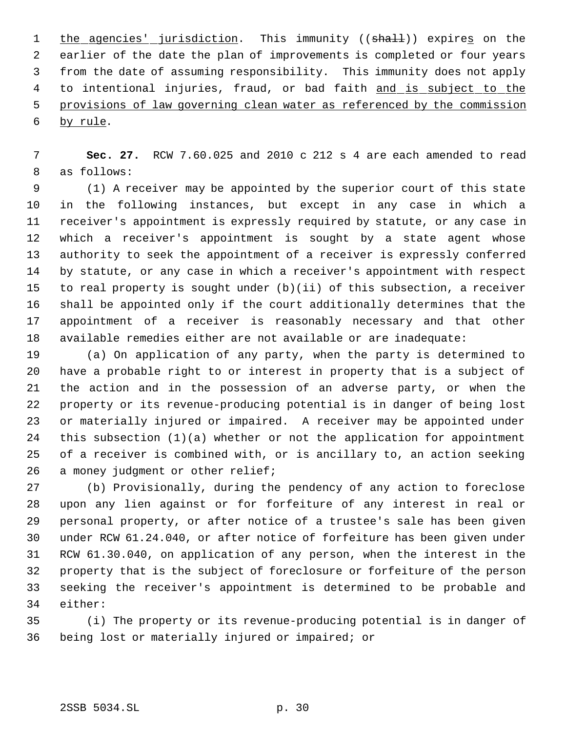1 the agencies' jurisdiction. This immunity ((shall)) expires on the earlier of the date the plan of improvements is completed or four years from the date of assuming responsibility. This immunity does not apply 4 to intentional injuries, fraud, or bad faith and is subject to the provisions of law governing clean water as referenced by the commission by rule.

 **Sec. 27.** RCW 7.60.025 and 2010 c 212 s 4 are each amended to read as follows:

 (1) A receiver may be appointed by the superior court of this state in the following instances, but except in any case in which a receiver's appointment is expressly required by statute, or any case in which a receiver's appointment is sought by a state agent whose authority to seek the appointment of a receiver is expressly conferred by statute, or any case in which a receiver's appointment with respect to real property is sought under (b)(ii) of this subsection, a receiver shall be appointed only if the court additionally determines that the appointment of a receiver is reasonably necessary and that other available remedies either are not available or are inadequate:

 (a) On application of any party, when the party is determined to have a probable right to or interest in property that is a subject of the action and in the possession of an adverse party, or when the property or its revenue-producing potential is in danger of being lost or materially injured or impaired. A receiver may be appointed under this subsection (1)(a) whether or not the application for appointment of a receiver is combined with, or is ancillary to, an action seeking 26 a money judgment or other relief;

 (b) Provisionally, during the pendency of any action to foreclose upon any lien against or for forfeiture of any interest in real or personal property, or after notice of a trustee's sale has been given under RCW 61.24.040, or after notice of forfeiture has been given under RCW 61.30.040, on application of any person, when the interest in the property that is the subject of foreclosure or forfeiture of the person seeking the receiver's appointment is determined to be probable and either:

 (i) The property or its revenue-producing potential is in danger of being lost or materially injured or impaired; or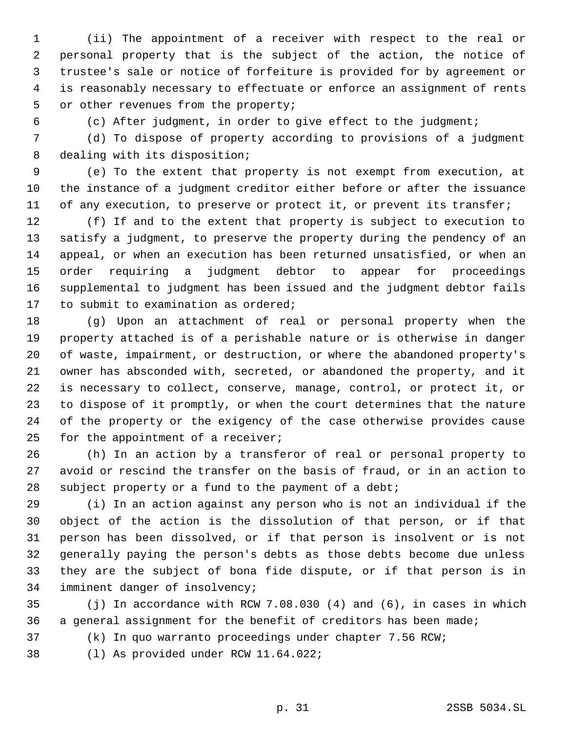(ii) The appointment of a receiver with respect to the real or personal property that is the subject of the action, the notice of trustee's sale or notice of forfeiture is provided for by agreement or is reasonably necessary to effectuate or enforce an assignment of rents or other revenues from the property;

(c) After judgment, in order to give effect to the judgment;

 (d) To dispose of property according to provisions of a judgment dealing with its disposition;

 (e) To the extent that property is not exempt from execution, at the instance of a judgment creditor either before or after the issuance 11 of any execution, to preserve or protect it, or prevent its transfer;

 (f) If and to the extent that property is subject to execution to satisfy a judgment, to preserve the property during the pendency of an appeal, or when an execution has been returned unsatisfied, or when an order requiring a judgment debtor to appear for proceedings supplemental to judgment has been issued and the judgment debtor fails to submit to examination as ordered;

 (g) Upon an attachment of real or personal property when the property attached is of a perishable nature or is otherwise in danger of waste, impairment, or destruction, or where the abandoned property's owner has absconded with, secreted, or abandoned the property, and it is necessary to collect, conserve, manage, control, or protect it, or to dispose of it promptly, or when the court determines that the nature of the property or the exigency of the case otherwise provides cause 25 for the appointment of a receiver;

 (h) In an action by a transferor of real or personal property to avoid or rescind the transfer on the basis of fraud, or in an action to 28 subject property or a fund to the payment of a debt;

 (i) In an action against any person who is not an individual if the object of the action is the dissolution of that person, or if that person has been dissolved, or if that person is insolvent or is not generally paying the person's debts as those debts become due unless they are the subject of bona fide dispute, or if that person is in imminent danger of insolvency;

 (j) In accordance with RCW 7.08.030 (4) and (6), in cases in which a general assignment for the benefit of creditors has been made;

(k) In quo warranto proceedings under chapter 7.56 RCW;

(l) As provided under RCW 11.64.022;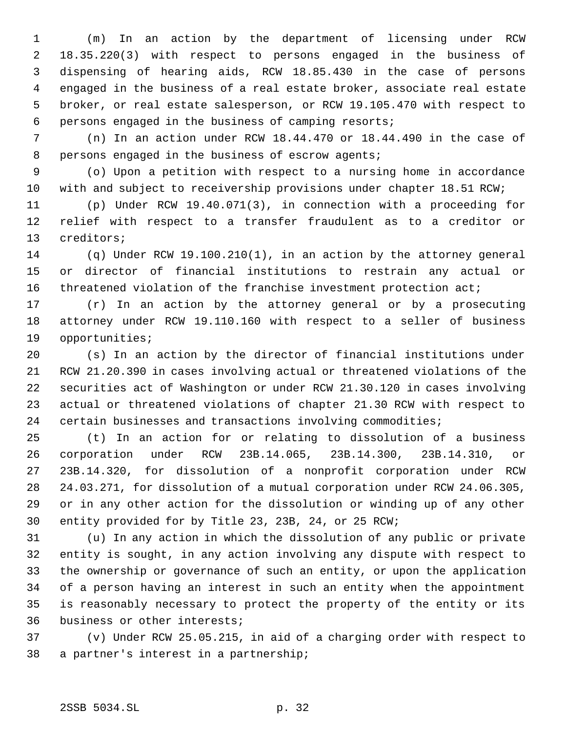(m) In an action by the department of licensing under RCW 18.35.220(3) with respect to persons engaged in the business of dispensing of hearing aids, RCW 18.85.430 in the case of persons engaged in the business of a real estate broker, associate real estate broker, or real estate salesperson, or RCW 19.105.470 with respect to persons engaged in the business of camping resorts;

 (n) In an action under RCW 18.44.470 or 18.44.490 in the case of persons engaged in the business of escrow agents;

 (o) Upon a petition with respect to a nursing home in accordance with and subject to receivership provisions under chapter 18.51 RCW;

 (p) Under RCW 19.40.071(3), in connection with a proceeding for relief with respect to a transfer fraudulent as to a creditor or creditors;

 (q) Under RCW 19.100.210(1), in an action by the attorney general or director of financial institutions to restrain any actual or 16 threatened violation of the franchise investment protection act;

 (r) In an action by the attorney general or by a prosecuting attorney under RCW 19.110.160 with respect to a seller of business opportunities;

 (s) In an action by the director of financial institutions under RCW 21.20.390 in cases involving actual or threatened violations of the securities act of Washington or under RCW 21.30.120 in cases involving actual or threatened violations of chapter 21.30 RCW with respect to certain businesses and transactions involving commodities;

 (t) In an action for or relating to dissolution of a business corporation under RCW 23B.14.065, 23B.14.300, 23B.14.310, or 23B.14.320, for dissolution of a nonprofit corporation under RCW 24.03.271, for dissolution of a mutual corporation under RCW 24.06.305, or in any other action for the dissolution or winding up of any other entity provided for by Title 23, 23B, 24, or 25 RCW;

 (u) In any action in which the dissolution of any public or private entity is sought, in any action involving any dispute with respect to the ownership or governance of such an entity, or upon the application of a person having an interest in such an entity when the appointment is reasonably necessary to protect the property of the entity or its business or other interests;

 (v) Under RCW 25.05.215, in aid of a charging order with respect to a partner's interest in a partnership;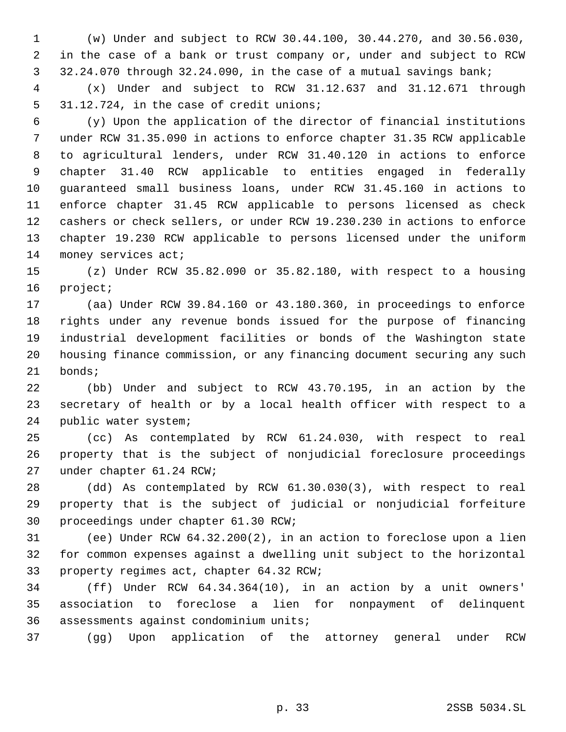(w) Under and subject to RCW 30.44.100, 30.44.270, and 30.56.030, in the case of a bank or trust company or, under and subject to RCW 32.24.070 through 32.24.090, in the case of a mutual savings bank;

 (x) Under and subject to RCW 31.12.637 and 31.12.671 through 31.12.724, in the case of credit unions;

 (y) Upon the application of the director of financial institutions under RCW 31.35.090 in actions to enforce chapter 31.35 RCW applicable to agricultural lenders, under RCW 31.40.120 in actions to enforce chapter 31.40 RCW applicable to entities engaged in federally guaranteed small business loans, under RCW 31.45.160 in actions to enforce chapter 31.45 RCW applicable to persons licensed as check cashers or check sellers, or under RCW 19.230.230 in actions to enforce chapter 19.230 RCW applicable to persons licensed under the uniform money services act;

 (z) Under RCW 35.82.090 or 35.82.180, with respect to a housing project;

 (aa) Under RCW 39.84.160 or 43.180.360, in proceedings to enforce rights under any revenue bonds issued for the purpose of financing industrial development facilities or bonds of the Washington state housing finance commission, or any financing document securing any such bonds;

 (bb) Under and subject to RCW 43.70.195, in an action by the secretary of health or by a local health officer with respect to a public water system;

 (cc) As contemplated by RCW 61.24.030, with respect to real property that is the subject of nonjudicial foreclosure proceedings under chapter 61.24 RCW;

 (dd) As contemplated by RCW 61.30.030(3), with respect to real property that is the subject of judicial or nonjudicial forfeiture proceedings under chapter 61.30 RCW;

 (ee) Under RCW 64.32.200(2), in an action to foreclose upon a lien for common expenses against a dwelling unit subject to the horizontal property regimes act, chapter 64.32 RCW;

 (ff) Under RCW 64.34.364(10), in an action by a unit owners' association to foreclose a lien for nonpayment of delinquent assessments against condominium units;

(gg) Upon application of the attorney general under RCW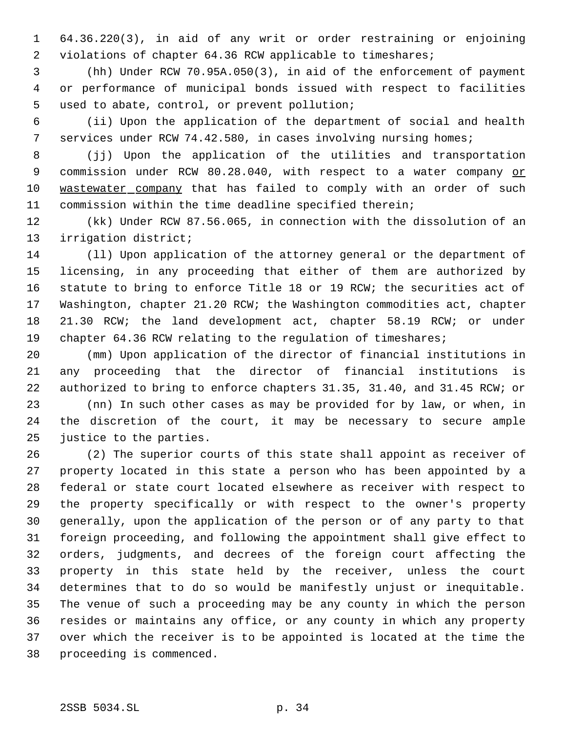64.36.220(3), in aid of any writ or order restraining or enjoining violations of chapter 64.36 RCW applicable to timeshares;

 (hh) Under RCW 70.95A.050(3), in aid of the enforcement of payment or performance of municipal bonds issued with respect to facilities used to abate, control, or prevent pollution;

 (ii) Upon the application of the department of social and health services under RCW 74.42.580, in cases involving nursing homes;

 (jj) Upon the application of the utilities and transportation 9 commission under RCW 80.28.040, with respect to a water company or wastewater company that has failed to comply with an order of such commission within the time deadline specified therein;

 (kk) Under RCW 87.56.065, in connection with the dissolution of an irrigation district;

 (ll) Upon application of the attorney general or the department of licensing, in any proceeding that either of them are authorized by statute to bring to enforce Title 18 or 19 RCW; the securities act of Washington, chapter 21.20 RCW; the Washington commodities act, chapter 21.30 RCW; the land development act, chapter 58.19 RCW; or under 19 chapter 64.36 RCW relating to the regulation of timeshares;

 (mm) Upon application of the director of financial institutions in any proceeding that the director of financial institutions is authorized to bring to enforce chapters 31.35, 31.40, and 31.45 RCW; or (nn) In such other cases as may be provided for by law, or when, in

 the discretion of the court, it may be necessary to secure ample justice to the parties.

 (2) The superior courts of this state shall appoint as receiver of property located in this state a person who has been appointed by a federal or state court located elsewhere as receiver with respect to the property specifically or with respect to the owner's property generally, upon the application of the person or of any party to that foreign proceeding, and following the appointment shall give effect to orders, judgments, and decrees of the foreign court affecting the property in this state held by the receiver, unless the court determines that to do so would be manifestly unjust or inequitable. The venue of such a proceeding may be any county in which the person resides or maintains any office, or any county in which any property over which the receiver is to be appointed is located at the time the proceeding is commenced.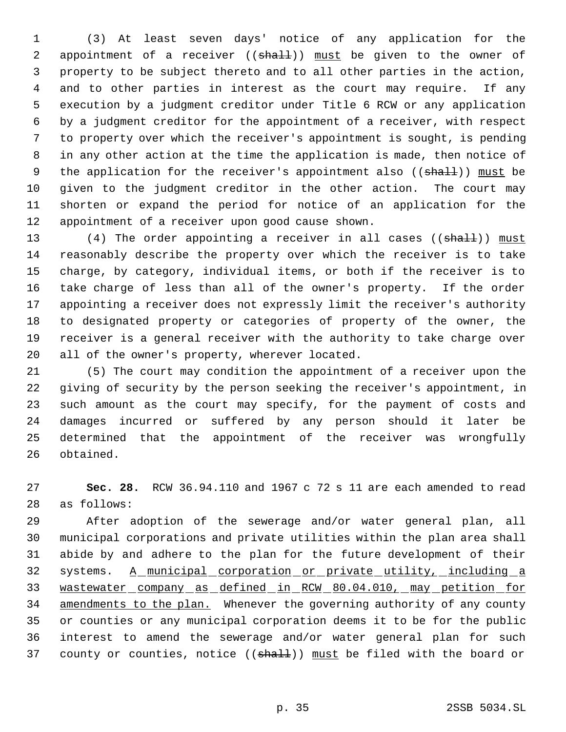(3) At least seven days' notice of any application for the 2 appointment of a receiver ((shall)) must be given to the owner of property to be subject thereto and to all other parties in the action, and to other parties in interest as the court may require. If any execution by a judgment creditor under Title 6 RCW or any application by a judgment creditor for the appointment of a receiver, with respect to property over which the receiver's appointment is sought, is pending in any other action at the time the application is made, then notice of 9 the application for the receiver's appointment also ((shall)) must be given to the judgment creditor in the other action. The court may shorten or expand the period for notice of an application for the appointment of a receiver upon good cause shown.

13 (4) The order appointing a receiver in all cases ((shall)) must reasonably describe the property over which the receiver is to take charge, by category, individual items, or both if the receiver is to take charge of less than all of the owner's property. If the order appointing a receiver does not expressly limit the receiver's authority to designated property or categories of property of the owner, the receiver is a general receiver with the authority to take charge over all of the owner's property, wherever located.

 (5) The court may condition the appointment of a receiver upon the giving of security by the person seeking the receiver's appointment, in such amount as the court may specify, for the payment of costs and damages incurred or suffered by any person should it later be determined that the appointment of the receiver was wrongfully obtained.

 **Sec. 28.** RCW 36.94.110 and 1967 c 72 s 11 are each amended to read as follows:

 After adoption of the sewerage and/or water general plan, all municipal corporations and private utilities within the plan area shall abide by and adhere to the plan for the future development of their 32 systems. A municipal corporation or private utility, including a wastewater company as defined in RCW 80.04.010, may petition for 34 amendments to the plan. Whenever the governing authority of any county or counties or any municipal corporation deems it to be for the public interest to amend the sewerage and/or water general plan for such 37 county or counties, notice ((shall)) must be filed with the board or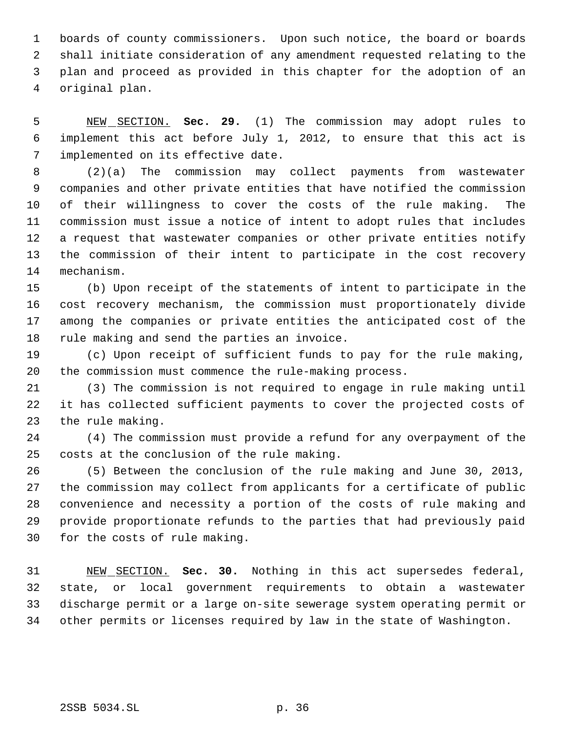1 boards of county commissioners. Upon such notice, the board or boards shall initiate consideration of any amendment requested relating to the plan and proceed as provided in this chapter for the adoption of an original plan.

 NEW SECTION. **Sec. 29.** (1) The commission may adopt rules to implement this act before July 1, 2012, to ensure that this act is implemented on its effective date.

 (2)(a) The commission may collect payments from wastewater companies and other private entities that have notified the commission of their willingness to cover the costs of the rule making. The commission must issue a notice of intent to adopt rules that includes a request that wastewater companies or other private entities notify the commission of their intent to participate in the cost recovery mechanism.

 (b) Upon receipt of the statements of intent to participate in the cost recovery mechanism, the commission must proportionately divide among the companies or private entities the anticipated cost of the rule making and send the parties an invoice.

 (c) Upon receipt of sufficient funds to pay for the rule making, the commission must commence the rule-making process.

 (3) The commission is not required to engage in rule making until it has collected sufficient payments to cover the projected costs of the rule making.

 (4) The commission must provide a refund for any overpayment of the costs at the conclusion of the rule making.

 (5) Between the conclusion of the rule making and June 30, 2013, the commission may collect from applicants for a certificate of public convenience and necessity a portion of the costs of rule making and provide proportionate refunds to the parties that had previously paid for the costs of rule making.

 NEW SECTION. **Sec. 30.** Nothing in this act supersedes federal, state, or local government requirements to obtain a wastewater discharge permit or a large on-site sewerage system operating permit or other permits or licenses required by law in the state of Washington.